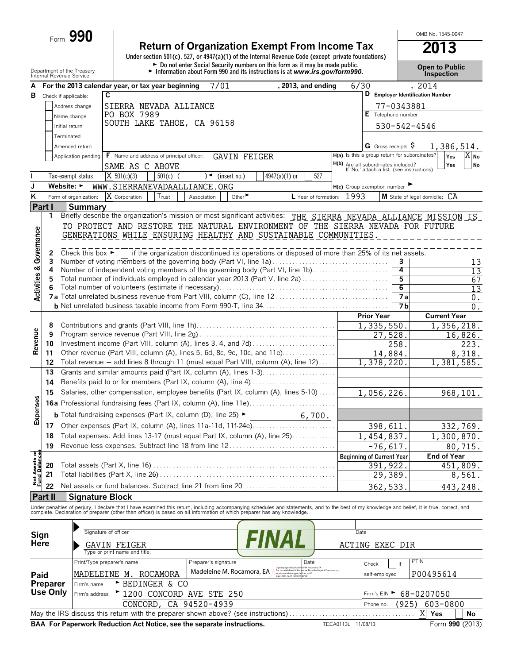| Form | 990 |
|------|-----|
|      |     |

# **Return of Organization Exempt From Income Tax** 2013<br>
Under section 501(c), 527, or 4947(a)(1) of the Internal Revenue Code (except private foundations)

OMB No. 1545-0047

|                                        |                | Department of the Treasury<br>Internal Revenue Service                                   |                                                 |             |                             | ► Do not enter Social Security numbers on this form as it may be made public.<br>Information about Form 990 and its instructions is at www.irs.gov/form990.                                                                       |      |                                                                                          |                | <b>Open to Public</b><br><b>Inspection</b> |
|----------------------------------------|----------------|------------------------------------------------------------------------------------------|-------------------------------------------------|-------------|-----------------------------|-----------------------------------------------------------------------------------------------------------------------------------------------------------------------------------------------------------------------------------|------|------------------------------------------------------------------------------------------|----------------|--------------------------------------------|
| А                                      |                | For the 2013 calendar year, or tax year beginning                                        |                                                 |             | 7/01                        | , 2013, and ending                                                                                                                                                                                                                | 6/30 |                                                                                          |                | , 2014                                     |
| в                                      |                | C<br>Check if applicable:                                                                |                                                 |             |                             |                                                                                                                                                                                                                                   |      |                                                                                          |                | D Employer Identification Number           |
|                                        |                | Address change                                                                           | SIERRA NEVADA ALLIANCE                          |             |                             |                                                                                                                                                                                                                                   |      |                                                                                          | 77-0343881     |                                            |
|                                        |                | Name change                                                                              | PO BOX 7989                                     |             |                             |                                                                                                                                                                                                                                   |      | E Telephone number                                                                       |                |                                            |
|                                        |                | Initial return                                                                           | SOUTH LAKE TAHOE, CA 96158                      |             |                             |                                                                                                                                                                                                                                   |      |                                                                                          |                | 530-542-4546                               |
|                                        |                | Terminated                                                                               |                                                 |             |                             |                                                                                                                                                                                                                                   |      |                                                                                          |                |                                            |
|                                        |                | Amended return                                                                           |                                                 |             |                             |                                                                                                                                                                                                                                   |      | G Gross receipts $\varsigma$                                                             |                | 1,386,514.                                 |
|                                        |                | Application pending                                                                      | <b>F</b> Name and address of principal officer: |             | <b>GAVIN FEIGER</b>         |                                                                                                                                                                                                                                   |      | H(a) Is this a group return for subordinates?                                            |                | $X _{No}$<br>Yes                           |
|                                        |                |                                                                                          | SAME AS C ABOVE                                 |             |                             |                                                                                                                                                                                                                                   |      | <b>H(b)</b> Are all subordinates included?<br>If 'No,' attach a list. (see instructions) |                | Yes<br><b>No</b>                           |
|                                        |                | Tax-exempt status                                                                        | $\overline{X}$ 501(c)(3)                        | $501(c)$ (  | $)$ (insert no.)            | 527<br>4947(a)(1) or                                                                                                                                                                                                              |      |                                                                                          |                |                                            |
| J                                      |                | Website: $\blacktriangleright$                                                           | WWW.SIERRANEVADAALLIANCE.ORG                    |             |                             |                                                                                                                                                                                                                                   |      | H(c) Group exemption number                                                              |                |                                            |
| ĸ                                      |                | Form of organization:                                                                    | X Corporation<br>Trust                          | Association | Other $\blacktriangleright$ | L Year of formation: 1993                                                                                                                                                                                                         |      |                                                                                          |                | M State of legal domicile: CA              |
| Part I                                 |                | <b>Summary</b>                                                                           |                                                 |             |                             |                                                                                                                                                                                                                                   |      |                                                                                          |                |                                            |
|                                        | 1              |                                                                                          |                                                 |             |                             | Briefly describe the organization's mission or most significant activities: THE SIERRA NEVADA ALLIANCE MISSION IS                                                                                                                 |      |                                                                                          |                |                                            |
|                                        |                |                                                                                          |                                                 |             |                             | TO PROTECT AND RESTORE THE NATURAL ENVIRONMENT OF THE SIERRA NEVADA FOR FUTURE                                                                                                                                                    |      |                                                                                          |                |                                            |
|                                        |                |                                                                                          |                                                 |             |                             | GENERATIONS WHILE ENSURING HEALTHY AND SUSTAINABLE COMMUNITIES                                                                                                                                                                    |      |                                                                                          |                |                                            |
| <b>Activities &amp; Governance</b>     |                |                                                                                          |                                                 |             |                             |                                                                                                                                                                                                                                   |      |                                                                                          |                |                                            |
|                                        | 2              | Check this box $\blacktriangleright$                                                     |                                                 |             |                             | if the organization discontinued its operations or disposed of more than 25% of its net assets.                                                                                                                                   |      |                                                                                          |                |                                            |
|                                        | 3              |                                                                                          |                                                 |             |                             | Number of voting members of the governing body (Part VI, line 1a)                                                                                                                                                                 |      |                                                                                          | 3              | 13                                         |
|                                        | 4              |                                                                                          |                                                 |             |                             | Number of independent voting members of the governing body (Part VI, line 1b)                                                                                                                                                     |      |                                                                                          | 4              | $\overline{13}$                            |
|                                        | 5              |                                                                                          |                                                 |             |                             | Total number of individuals employed in calendar year 2013 (Part V, line 2a)                                                                                                                                                      |      |                                                                                          | 5              | 67                                         |
|                                        |                |                                                                                          |                                                 |             |                             |                                                                                                                                                                                                                                   |      |                                                                                          | $\overline{6}$ | $\overline{13}$                            |
|                                        |                |                                                                                          |                                                 |             |                             |                                                                                                                                                                                                                                   |      |                                                                                          | <b>7a</b>      | $0$ .                                      |
|                                        |                |                                                                                          |                                                 |             |                             |                                                                                                                                                                                                                                   |      |                                                                                          | 7 <sub>b</sub> | $0$ .                                      |
|                                        | 8              |                                                                                          |                                                 |             |                             |                                                                                                                                                                                                                                   |      | <b>Prior Year</b>                                                                        |                | <b>Current Year</b>                        |
|                                        | 9              |                                                                                          |                                                 |             |                             |                                                                                                                                                                                                                                   |      | 1,335,550.<br>27,528.                                                                    |                | 1,356,218.                                 |
|                                        | 10             |                                                                                          |                                                 |             |                             | Investment income (Part VIII, column (A), lines 3, 4, and 7d)                                                                                                                                                                     |      |                                                                                          | 258.           | 16,826.<br>$\overline{223}$ .              |
| Revenue                                | 11             |                                                                                          |                                                 |             |                             | Other revenue (Part VIII, column (A), lines 5, 6d, 8c, 9c, 10c, and 11e)                                                                                                                                                          |      | 14,884.                                                                                  |                | 8,318.                                     |
|                                        | 12             |                                                                                          |                                                 |             |                             | Total revenue - add lines 8 through 11 (must equal Part VIII, column (A), line 12)                                                                                                                                                |      | 1,378,220.                                                                               |                | 1,381,585.                                 |
|                                        | 13             |                                                                                          |                                                 |             |                             | Grants and similar amounts paid (Part IX, column (A), lines 1-3)                                                                                                                                                                  |      |                                                                                          |                |                                            |
|                                        | 14             |                                                                                          |                                                 |             |                             | Benefits paid to or for members (Part IX, column (A), line 4)                                                                                                                                                                     |      |                                                                                          |                |                                            |
|                                        | 15             |                                                                                          |                                                 |             |                             | Salaries, other compensation, employee benefits (Part IX, column (A), lines 5-10)                                                                                                                                                 |      | 1,056,226.                                                                               |                | 968,101.                                   |
|                                        |                |                                                                                          |                                                 |             |                             |                                                                                                                                                                                                                                   |      |                                                                                          |                |                                            |
|                                        |                |                                                                                          |                                                 |             |                             |                                                                                                                                                                                                                                   |      |                                                                                          |                |                                            |
| Expenses                               |                | <b>b</b> Total fundraising expenses (Part IX, column (D), line 25) $\blacktriangleright$ |                                                 |             |                             | 6,700.                                                                                                                                                                                                                            |      |                                                                                          |                |                                            |
|                                        |                |                                                                                          |                                                 |             |                             | 17 Other expenses (Part IX, column (A), lines 11a-11d, 11f-24e)                                                                                                                                                                   |      | 398,611.                                                                                 |                | 332,769.                                   |
|                                        | 18             |                                                                                          |                                                 |             |                             | Total expenses. Add lines 13-17 (must equal Part IX, column (A), line 25)                                                                                                                                                         |      | 1,454,837.                                                                               |                | 1,300,870.                                 |
|                                        | 19             |                                                                                          |                                                 |             |                             | Revenue less expenses. Subtract line 18 from line 12                                                                                                                                                                              |      | $-76,617.$                                                                               |                | 80,715.                                    |
| <b>Net Assets of<br/>Fund Balances</b> |                |                                                                                          |                                                 |             |                             |                                                                                                                                                                                                                                   |      | <b>Beginning of Current Year</b>                                                         |                | <b>End of Year</b>                         |
|                                        | 20             |                                                                                          |                                                 |             |                             |                                                                                                                                                                                                                                   |      | 391,922.                                                                                 |                | 451,809.                                   |
|                                        | 21             | Total liabilities (Part X, line 26).                                                     |                                                 |             |                             | and a complete the contract of the complete the complete the complete the complete the complete the complete t                                                                                                                    |      | 29,389.                                                                                  |                | 8,561.                                     |
|                                        | 22             |                                                                                          |                                                 |             |                             | Net assets or fund balances. Subtract line 21 from line 20                                                                                                                                                                        |      | 362,533                                                                                  |                | 443,248.                                   |
|                                        | <b>Part II</b> | <b>Signature Block</b>                                                                   |                                                 |             |                             |                                                                                                                                                                                                                                   |      |                                                                                          |                |                                            |
|                                        |                |                                                                                          |                                                 |             |                             | Under penalties of perjury, I declare that I have examined this return, including accompanying schedules and statements, and to the best of my knowledge and belief, it is true, correct, and<br>complete. Declaration of prepare |      |                                                                                          |                |                                            |
|                                        |                |                                                                                          |                                                 |             |                             |                                                                                                                                                                                                                                   |      |                                                                                          |                |                                            |
|                                        |                |                                                                                          |                                                 |             |                             |                                                                                                                                                                                                                                   |      |                                                                                          |                |                                            |
| Sign                                   |                | Signature of officer                                                                     |                                                 |             |                             | <i>FINAL</i>                                                                                                                                                                                                                      |      | Date                                                                                     |                |                                            |
| Here                                   |                |                                                                                          | GAVIN FEIGER                                    |             |                             |                                                                                                                                                                                                                                   |      | ACTING EXEC DIR                                                                          |                |                                            |
|                                        |                |                                                                                          | Type or print name and title.                   |             |                             |                                                                                                                                                                                                                                   |      |                                                                                          |                |                                            |
|                                        |                | Print/Type preparer's name                                                               |                                                 |             | Preparer's signature        | Date                                                                                                                                                                                                                              |      | Check                                                                                    | if             | PTIN                                       |

|                |                |                              | BAA For Paperwork Reduction Act Notice, see the separate instructions. | TEEA0113L 11/08/13                                                                                                                                                                    |                      | Form 990 (2013) |  |
|----------------|----------------|------------------------------|------------------------------------------------------------------------|---------------------------------------------------------------------------------------------------------------------------------------------------------------------------------------|----------------------|-----------------|--|
| X<br>Yes<br>No |                |                              |                                                                        |                                                                                                                                                                                       |                      |                 |  |
|                |                | CONCORD, CA 94520-4939       |                                                                        |                                                                                                                                                                                       | (925)<br>Phone no.   | 603-0800        |  |
| Use Only       | Firm's address | Let 1200 CONCORD AVE STE 250 | Firm's EIN $\triangleright$ 68-0207050                                 |                                                                                                                                                                                       |                      |                 |  |
| Preparer       | Firm's name    | ► BEDINGER & CO              |                                                                        |                                                                                                                                                                                       |                      |                 |  |
| Paid           |                | MADELEINE M. ROCAMORA        | Madeleine M. Rocamora, EA                                              | Digitally signed by Madeleine M. Rocamora, EA<br>DN: cn=Madeleine M. Rocamora, EA, o=Bedinger & Company, ou,<br>email-madeleiner@pacbe Lnet, c-US<br>Date: 2014.12.17 13:01:59 08'00' | self-employed        | P00495614       |  |
|                |                |                              |                                                                        | ----                                                                                                                                                                                  | <b>UIRCK</b><br>- 11 |                 |  |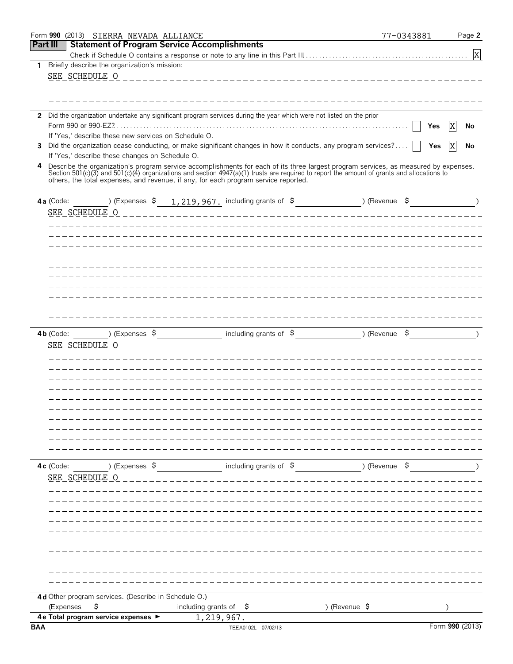|                 | Form 990 (2013) SIERRA NEVADA ALLIANCE               |                                                                                                                                                                                                                                                                                                                                                                           | 77-0343881<br>Page 2 |   |
|-----------------|------------------------------------------------------|---------------------------------------------------------------------------------------------------------------------------------------------------------------------------------------------------------------------------------------------------------------------------------------------------------------------------------------------------------------------------|----------------------|---|
| <b>Part III</b> |                                                      | <b>Statement of Program Service Accomplishments</b>                                                                                                                                                                                                                                                                                                                       |                      |   |
|                 |                                                      |                                                                                                                                                                                                                                                                                                                                                                           |                      | X |
| 1               | Briefly describe the organization's mission:         |                                                                                                                                                                                                                                                                                                                                                                           |                      |   |
|                 | SEE SCHEDULE O                                       | ___________________________________                                                                                                                                                                                                                                                                                                                                       |                      |   |
|                 |                                                      |                                                                                                                                                                                                                                                                                                                                                                           |                      |   |
|                 |                                                      |                                                                                                                                                                                                                                                                                                                                                                           |                      |   |
| $\mathbf{2}$    |                                                      | Did the organization undertake any significant program services during the year which were not listed on the prior                                                                                                                                                                                                                                                        |                      |   |
|                 | Form 990 or 990-EZ?                                  |                                                                                                                                                                                                                                                                                                                                                                           | Yes<br>No            |   |
|                 | If 'Yes,' describe these new services on Schedule O. |                                                                                                                                                                                                                                                                                                                                                                           |                      |   |
| 3               |                                                      | Did the organization cease conducting, or make significant changes in how it conducts, any program services?                                                                                                                                                                                                                                                              | X<br>Yes<br>No       |   |
|                 | If 'Yes,' describe these changes on Schedule O.      |                                                                                                                                                                                                                                                                                                                                                                           |                      |   |
| 4               |                                                      | Describe the organization's program service accomplishments for each of its three largest program services, as measured by expenses.<br>Section 501(c)(3) and 501(c)(4) organizations and section 4947(a)(1) trusts are required to report the amount of grants and allocations to<br>others, the total expenses, and revenue, if any, for each program service reported. |                      |   |
|                 | 4a (Code:<br>) (Expenses \$                          | 1, 219, 967. including grants of $\sin 2\theta$ (Revenue $\sin 2\theta$ ) (Revenue $\sin 2\theta$                                                                                                                                                                                                                                                                         |                      |   |
|                 |                                                      |                                                                                                                                                                                                                                                                                                                                                                           |                      |   |
|                 | SEE SCHEDULE O                                       |                                                                                                                                                                                                                                                                                                                                                                           |                      |   |
|                 |                                                      |                                                                                                                                                                                                                                                                                                                                                                           |                      |   |
|                 |                                                      |                                                                                                                                                                                                                                                                                                                                                                           |                      |   |
|                 |                                                      |                                                                                                                                                                                                                                                                                                                                                                           |                      |   |
|                 |                                                      |                                                                                                                                                                                                                                                                                                                                                                           |                      |   |
|                 |                                                      |                                                                                                                                                                                                                                                                                                                                                                           |                      |   |
|                 |                                                      |                                                                                                                                                                                                                                                                                                                                                                           |                      |   |
|                 |                                                      |                                                                                                                                                                                                                                                                                                                                                                           |                      |   |
|                 |                                                      |                                                                                                                                                                                                                                                                                                                                                                           |                      |   |
|                 |                                                      |                                                                                                                                                                                                                                                                                                                                                                           |                      |   |
|                 |                                                      |                                                                                                                                                                                                                                                                                                                                                                           |                      |   |
|                 | ) (Expenses $\beta$<br>4b (Code:                     | including grants of $\beta$                                                                                                                                                                                                                                                                                                                                               | ) (Revenue \$        |   |
|                 | SEE SCHEDULE O                                       |                                                                                                                                                                                                                                                                                                                                                                           |                      |   |
|                 |                                                      |                                                                                                                                                                                                                                                                                                                                                                           |                      |   |
|                 |                                                      |                                                                                                                                                                                                                                                                                                                                                                           |                      |   |
|                 |                                                      |                                                                                                                                                                                                                                                                                                                                                                           |                      |   |
|                 |                                                      |                                                                                                                                                                                                                                                                                                                                                                           |                      |   |
|                 |                                                      |                                                                                                                                                                                                                                                                                                                                                                           |                      |   |
|                 |                                                      |                                                                                                                                                                                                                                                                                                                                                                           |                      |   |
|                 |                                                      |                                                                                                                                                                                                                                                                                                                                                                           |                      |   |
|                 |                                                      |                                                                                                                                                                                                                                                                                                                                                                           |                      |   |
|                 |                                                      |                                                                                                                                                                                                                                                                                                                                                                           |                      |   |
|                 |                                                      |                                                                                                                                                                                                                                                                                                                                                                           |                      |   |
|                 | ) (Expenses \$<br>4c (Code:                          | including grants of \$ ) (Revenue \$                                                                                                                                                                                                                                                                                                                                      |                      |   |
|                 | SEE SCHEDULE O                                       |                                                                                                                                                                                                                                                                                                                                                                           |                      |   |
|                 |                                                      |                                                                                                                                                                                                                                                                                                                                                                           |                      |   |
|                 |                                                      |                                                                                                                                                                                                                                                                                                                                                                           |                      |   |
|                 |                                                      |                                                                                                                                                                                                                                                                                                                                                                           |                      |   |
|                 |                                                      |                                                                                                                                                                                                                                                                                                                                                                           |                      |   |
|                 |                                                      |                                                                                                                                                                                                                                                                                                                                                                           |                      |   |
|                 |                                                      |                                                                                                                                                                                                                                                                                                                                                                           |                      |   |
|                 |                                                      |                                                                                                                                                                                                                                                                                                                                                                           |                      |   |
|                 |                                                      |                                                                                                                                                                                                                                                                                                                                                                           |                      |   |
|                 |                                                      |                                                                                                                                                                                                                                                                                                                                                                           |                      |   |
|                 |                                                      |                                                                                                                                                                                                                                                                                                                                                                           |                      |   |
|                 |                                                      |                                                                                                                                                                                                                                                                                                                                                                           |                      |   |
|                 | 4d Other program services. (Describe in Schedule O.) |                                                                                                                                                                                                                                                                                                                                                                           |                      |   |
|                 | \$<br>(Expenses                                      | including grants of $\sharp$                                                                                                                                                                                                                                                                                                                                              | ) (Revenue \$        |   |
| <b>BAA</b>      | 4 e Total program service expenses >                 | 1,219,967.<br>TEEA0102L 07/02/13                                                                                                                                                                                                                                                                                                                                          | Form 990 (2013)      |   |
|                 |                                                      |                                                                                                                                                                                                                                                                                                                                                                           |                      |   |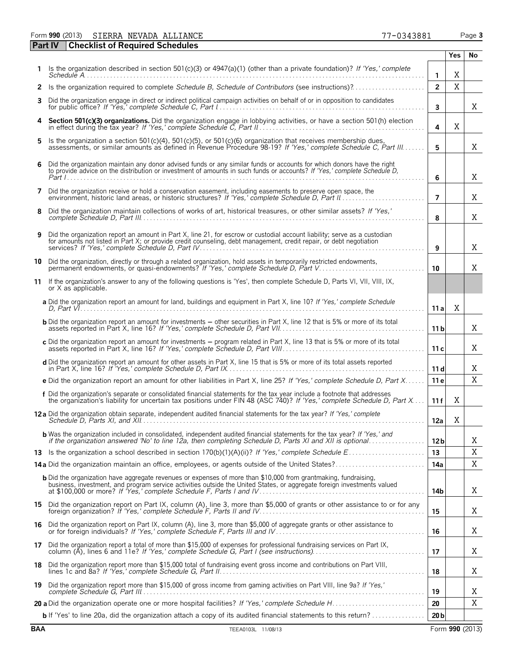Form **990** (2013) Page **3** SIERRA NEVADA ALLIANCE 77-0343881

|    | <b>Checklist of Required Schedules</b><br><b>Part IV</b>                                                                                                                                                                                         |                         |             |    |
|----|--------------------------------------------------------------------------------------------------------------------------------------------------------------------------------------------------------------------------------------------------|-------------------------|-------------|----|
|    |                                                                                                                                                                                                                                                  |                         | <b>Yes</b>  | No |
|    | Is the organization described in section $501(c)(3)$ or $4947(a)(1)$ (other than a private foundation)? If 'Yes,' complete                                                                                                                       | $\mathbf{1}$            | Χ           |    |
| 2  | Is the organization required to complete Schedule B, Schedule of Contributors (see instructions)?                                                                                                                                                | $\overline{2}$          | $\mathbf X$ |    |
| 3  | Did the organization engage in direct or indirect political campaign activities on behalf of or in opposition to candidates                                                                                                                      | $\overline{\mathbf{3}}$ |             | X  |
| 4  | Section 501(c)(3) organizations. Did the organization engage in lobbying activities, or have a section 501(h) election                                                                                                                           | 4                       | X           |    |
| 5  | Is the organization a section 501(c)(4), 501(c)(5), or 501(c)(6) organization that receives membership dues,<br>assessments, or similar amounts as defined in Revenue Procedure 98-19? If 'Yes,' complete Schedule C, Part III                   | 5                       |             | X  |
| 6  | Did the organization maintain any donor advised funds or any similar funds or accounts for which donors have the right to provide advice on the distribution or investment of amounts in such funds or accounts? If 'Yes,' com                   | 6                       |             | X  |
| 7  | Did the organization receive or hold a conservation easement, including easements to preserve open space, the                                                                                                                                    | $\overline{7}$          |             | Χ  |
| 8  | Did the organization maintain collections of works of art, historical treasures, or other similar assets? If 'Yes,'                                                                                                                              | 8                       |             | Χ  |
| 9  | Did the organization report an amount in Part X, line 21, for escrow or custodial account liability; serve as a custodian<br>for amounts not listed in Part X; or provide credit counseling, debt management, credit repair, or debt negotiation | 9                       |             | X  |
| 10 | Did the organization, directly or through a related organization, hold assets in temporarily restricted endowments,<br>permanent endowments, or quasi-endowments? If 'Yes,' complete Schedule D, Part V                                          | 10                      |             | X  |
| 11 | If the organization's answer to any of the following questions is 'Yes', then complete Schedule D, Parts VI, VII, VIII, IX,<br>or X as applicable.                                                                                               |                         |             |    |
|    | a Did the organization report an amount for land, buildings and equipment in Part X, line 10? If 'Yes,' complete Schedule                                                                                                                        | 11 al                   | X           |    |
|    | <b>b</b> Did the organization report an amount for investments - other securities in Part X, line 12 that is 5% or more of its total                                                                                                             | 11 <sub>b</sub>         |             | X  |
|    | c Did the organization report an amount for investments - program related in Part X, line 13 that is 5% or more of its total                                                                                                                     | 11c                     |             | X  |
|    | d Did the organization report an amount for other assets in Part X, line 15 that is 5% or more of its total assets reported                                                                                                                      | 11d                     |             | X  |
|    | e Did the organization report an amount for other liabilities in Part X, line 25? If 'Yes,' complete Schedule D, Part X                                                                                                                          | 11 e                    |             | Χ  |
|    | f Did the organization's separate or consolidated financial statements for the tax year include a footnote that addresses<br>the organization's liability for uncertain tax positions under FIN 48 (ASC 740)? If 'Yes,' complete                 | 11f                     | Χ           |    |
|    | <b>12a</b> Did the organization obtain separate, independent audited financial statements for the tax year? If 'Yes,' complete                                                                                                                   | 12a                     | Χ           |    |
|    | <b>b</b> Was the organization included in consolidated, independent audited financial statements for the tax year? If 'Yes,' and<br>if the organization answered 'No' to line 12a, then completing Schedule D, Parts XI and XII is optional      | 12 <sub>b</sub>         |             | Χ  |
|    |                                                                                                                                                                                                                                                  | 13                      |             | X  |
|    | 14a Did the organization maintain an office, employees, or agents outside of the United States?                                                                                                                                                  | 14a                     |             | Χ  |
|    | <b>b</b> Did the organization have aggregate revenues or expenses of more than \$10,000 from grantmaking, fundraising,                                                                                                                           | 14b                     |             | X  |
|    | 15 Did the organization report on Part IX, column (A), line 3, more than \$5,000 of grants or other assistance to or for any                                                                                                                     | 15                      |             | Χ  |
| 16 | Did the organization report on Part IX, column (A), line 3, more than \$5,000 of aggregate grants or other assistance to<br>or for foreign individuals? If 'Yes,' complete Schedule F, Parts III and IV                                          | 16                      |             | Χ  |
|    | 17 Did the organization report a total of more than \$15,000 of expenses for professional fundraising services on Part IX,                                                                                                                       | 17                      |             | Χ  |
|    | 18 Did the organization report more than \$15,000 total of fundraising event gross income and contributions on Part VIII,                                                                                                                        | 18                      |             | Χ  |
| 19 | Did the organization report more than \$15,000 of gross income from gaming activities on Part VIII, line 9a? If 'Yes,'                                                                                                                           | 19                      |             | Χ  |
|    |                                                                                                                                                                                                                                                  | 20                      |             | Χ  |
|    | b If 'Yes' to line 20a, did the organization attach a copy of its audited financial statements to this return?                                                                                                                                   | 20 <sub>b</sub>         |             |    |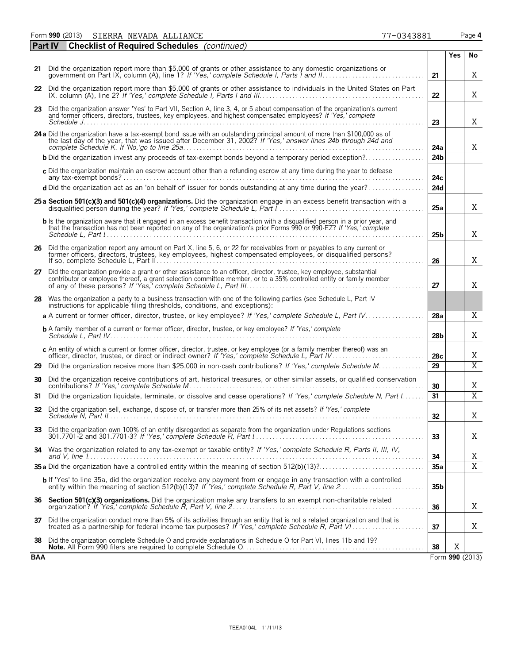| Form 990 (2013) | SIERRA NEVADA ALLIANCE | 7-0343881<br>-- | Page 4 |
|-----------------|------------------------|-----------------|--------|
|-----------------|------------------------|-----------------|--------|

|     | <b>Checklist of Required Schedules</b> (continued)<br><b>Part IV</b>                                                                                                                                                                                                                |                 |                 |                |
|-----|-------------------------------------------------------------------------------------------------------------------------------------------------------------------------------------------------------------------------------------------------------------------------------------|-----------------|-----------------|----------------|
|     |                                                                                                                                                                                                                                                                                     |                 | Yes             | No             |
|     | 21 Did the organization report more than \$5,000 of grants or other assistance to any domestic organizations or                                                                                                                                                                     | 21              |                 | Χ              |
|     | 22 Did the organization report more than \$5,000 of grants or other assistance to individuals in the United States on Part                                                                                                                                                          | 22              |                 | Χ              |
|     | 23 Did the organization answer 'Yes' to Part VII, Section A, line 3, 4, or 5 about compensation of the organization's current<br>and former officers, directors, trustees, key employees, and highest compensated employees? If 'Yes,' complete                                     | 23              |                 | X              |
|     | 24 a Did the organization have a tax-exempt bond issue with an outstanding principal amount of more than \$100,000 as of                                                                                                                                                            |                 |                 |                |
|     | the last day of the year, that was issued after December 31, 2002? If 'Yes,' answer lines 24b through 24d and                                                                                                                                                                       | 24a             |                 | X.             |
|     | <b>b</b> Did the organization invest any proceeds of tax-exempt bonds beyond a temporary period exception?                                                                                                                                                                          | 24 <sub>b</sub> |                 |                |
|     | c Did the organization maintain an escrow account other than a refunding escrow at any time during the year to defease                                                                                                                                                              | 24 <sub>c</sub> |                 |                |
|     | d Did the organization act as an 'on behalf of' issuer for bonds outstanding at any time during the year?                                                                                                                                                                           | 24d             |                 |                |
|     | 25 a Section 501(c)(3) and 501(c)(4) organizations. Did the organization engage in an excess benefit transaction with a                                                                                                                                                             | 25a             |                 | X              |
|     | b Is the organization aware that it engaged in an excess benefit transaction with a disqualified person in a prior year, and<br>that the transaction has not been reported on any of the organization's prior Forms 990 or 990-EZ? If 'Yes,' complete                               | 25 <sub>b</sub> |                 | X              |
|     | 26 Did the organization report any amount on Part X, line 5, 6, or 22 for receivables from or payables to any current or<br>former officers, directors, trustees, key employees, highest compensated employees, or disqualified persons?                                            | 26              |                 | X              |
| 27  | Did the organization provide a grant or other assistance to an officer, director, trustee, key employee, substantial<br>contributor or employee thereof, a grant selection committee member, or to a 35% controlled entity or family member                                         | 27              |                 | Χ              |
|     | 28 Was the organization a party to a business transaction with one of the following parties (see Schedule L, Part IV<br>instructions for applicable filing thresholds, conditions, and exceptions):                                                                                 |                 |                 |                |
|     | a A current or former officer, director, trustee, or key employee? If 'Yes,' complete Schedule L, Part IV                                                                                                                                                                           | 28a             |                 | Χ              |
|     | <b>b</b> A family member of a current or former officer, director, trustee, or key employee? If 'Yes,' complete                                                                                                                                                                     | 28 <sub>b</sub> |                 | Χ              |
|     | c An entity of which a current or former officer, director, trustee, or key employee (or a family member thereof) was an                                                                                                                                                            | 28 <sub>c</sub> |                 | X              |
| 29  | Did the organization receive more than \$25,000 in non-cash contributions? If 'Yes,' complete Schedule M                                                                                                                                                                            | $\overline{29}$ |                 | $\overline{X}$ |
| 30  | Did the organization receive contributions of art, historical treasures, or other similar assets, or qualified conservation                                                                                                                                                         | 30              |                 | Χ              |
| 31  | Did the organization liquidate, terminate, or dissolve and cease operations? If 'Yes,' complete Schedule N, Part I                                                                                                                                                                  | 31              |                 | $\overline{X}$ |
|     | 32 Did the organization sell, exchange, dispose of, or transfer more than 25% of its net assets? If 'Yes,' complete                                                                                                                                                                 | 32              |                 | Χ              |
|     | 33 Did the organization own 100% of an entity disregarded as separate from the organization under Regulations sections<br>301.7701-2 and 301.7701-3? If 'Yes.' complete Schedule R. Part $\lbrack  \rbrack, \lbrack  \rbrack, \lbrack  \rbrack, \lbrack  \rbrack, \lbrack  \rbrack$ | 33              |                 | X              |
|     | 34 Was the organization related to any tax-exempt or taxable entity? If 'Yes,' complete Schedule R, Parts II, III, IV,                                                                                                                                                              | 34              |                 | Χ              |
|     |                                                                                                                                                                                                                                                                                     | 35a             |                 | $\overline{X}$ |
|     | <b>b</b> If 'Yes' to line 35a, did the organization receive any payment from or engage in any transaction with a controlled                                                                                                                                                         | 35 <sub>b</sub> |                 |                |
| 36  | Section 501(c)(3) organizations. Did the organization make any transfers to an exempt non-charitable related                                                                                                                                                                        | 36              |                 | X              |
| 37  | Did the organization conduct more than 5% of its activities through an entity that is not a related organization and that is                                                                                                                                                        | 37              |                 | Χ              |
| 38  | Did the organization complete Schedule O and provide explanations in Schedule O for Part VI, lines 11b and 19?                                                                                                                                                                      | 38              | X               |                |
| BAA |                                                                                                                                                                                                                                                                                     |                 | Form 990 (2013) |                |

|  |  | 77-0343881 |  |
|--|--|------------|--|
|  |  |            |  |
|  |  |            |  |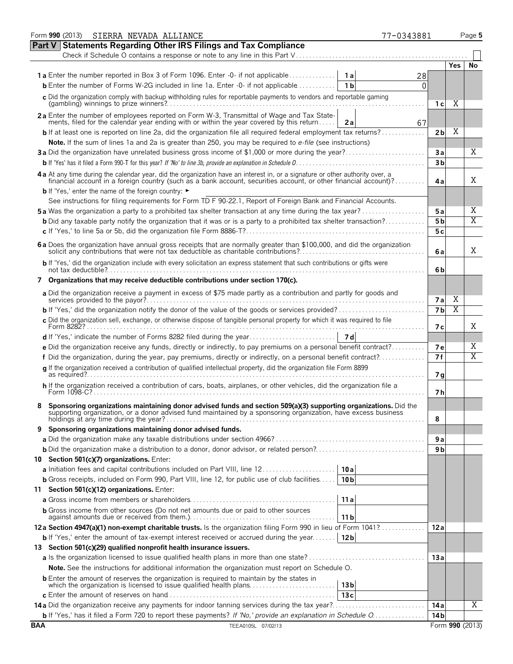|            | Form 990 (2013)<br>SIERRA NEVADA ALLIANCE<br>77-0343881                                                                                                                                                                                                                      |                 |      | Page 5          |
|------------|------------------------------------------------------------------------------------------------------------------------------------------------------------------------------------------------------------------------------------------------------------------------------|-----------------|------|-----------------|
|            | <b>Part V Statements Regarding Other IRS Filings and Tax Compliance</b>                                                                                                                                                                                                      |                 |      |                 |
|            | Check if Schedule O contains a response or note to any line in this Part V                                                                                                                                                                                                   |                 |      |                 |
|            |                                                                                                                                                                                                                                                                              |                 | Yes. | No              |
|            | <b>1a</b> Enter the number reported in Box 3 of Form 1096. Enter -0- if not applicable<br>1 a<br>28                                                                                                                                                                          |                 |      |                 |
|            | <b>b</b> Enter the number of Forms W-2G included in line 1a. Enter -0- if not applicable<br>1 b<br>0                                                                                                                                                                         |                 |      |                 |
|            | c Did the organization comply with backup withholding rules for reportable payments to vendors and reportable gaming                                                                                                                                                         |                 |      |                 |
|            |                                                                                                                                                                                                                                                                              | 1 с             | Χ    |                 |
|            | 2a Enter the number of employees reported on Form W-3, Transmittal of Wage and Tax State-                                                                                                                                                                                    |                 |      |                 |
|            | ments, filed for the calendar year ending with or within the year covered by this return<br>2a<br>67                                                                                                                                                                         |                 |      |                 |
|            | <b>b</b> If at least one is reported on line 2a, did the organization file all required federal employment tax returns?                                                                                                                                                      | 2b              | Χ    |                 |
|            | Note. If the sum of lines 1a and 2a is greater than 250, you may be required to e-file (see instructions)                                                                                                                                                                    |                 |      |                 |
|            | 3a Did the organization have unrelated business gross income of \$1,000 or more during the year?                                                                                                                                                                             | 3a              |      | Χ               |
|            |                                                                                                                                                                                                                                                                              | 3 <sub>b</sub>  |      |                 |
|            |                                                                                                                                                                                                                                                                              |                 |      |                 |
|            | 4a At any time during the calendar year, did the organization have an interest in, or a signature or other authority over, a<br>financial account in a foreign country (such as a bank account, securities account, or other financial account)?                             | 4a              |      | X               |
|            | <b>b</b> If 'Yes,' enter the name of the foreign country: ►                                                                                                                                                                                                                  |                 |      |                 |
|            | See instructions for filing requirements for Form TD F 90-22.1, Report of Foreign Bank and Financial Accounts.                                                                                                                                                               |                 |      |                 |
|            | 5a Was the organization a party to a prohibited tax shelter transaction at any time during the tax year?                                                                                                                                                                     | 5 a             |      | X               |
|            | <b>b</b> Did any taxable party notify the organization that it was or is a party to a prohibited tax shelter transaction?                                                                                                                                                    |                 |      | $\overline{X}$  |
|            |                                                                                                                                                                                                                                                                              | 5 <sub>b</sub>  |      |                 |
|            |                                                                                                                                                                                                                                                                              | 5c              |      |                 |
|            | 6 a Does the organization have annual gross receipts that are normally greater than \$100,000, and did the organization solicit any contributions that were not tax deductible as charitable contributions?                                                                  | 6 a             |      | X               |
|            | b If 'Yes,' did the organization include with every solicitation an express statement that such contributions or gifts were                                                                                                                                                  | 6b              |      |                 |
|            | 7 Organizations that may receive deductible contributions under section 170(c).                                                                                                                                                                                              |                 |      |                 |
|            | a Did the organization receive a payment in excess of \$75 made partly as a contribution and partly for goods and                                                                                                                                                            |                 | X    |                 |
|            |                                                                                                                                                                                                                                                                              | 7 a             | Χ    |                 |
|            | <b>b</b> If 'Yes,' did the organization notify the donor of the value of the goods or services provided?                                                                                                                                                                     | 7 <sub>b</sub>  |      |                 |
|            | c Did the organization sell, exchange, or otherwise dispose of tangible personal property for which it was required to file                                                                                                                                                  | 7 с             |      | X               |
|            |                                                                                                                                                                                                                                                                              |                 |      |                 |
|            | e Did the organization receive any funds, directly or indirectly, to pay premiums on a personal benefit contract?                                                                                                                                                            | 7е              |      | Χ               |
|            | f Did the organization, during the year, pay premiums, directly or indirectly, on a personal benefit contract?                                                                                                                                                               | 7 f             |      | X               |
|            | q If the organization received a contribution of qualified intellectual property, did the organization file Form 8899                                                                                                                                                        |                 |      |                 |
|            |                                                                                                                                                                                                                                                                              | 7g              |      |                 |
|            | h If the organization received a contribution of cars, boats, airplanes, or other vehicles, did the organization file a                                                                                                                                                      | 7 h             |      |                 |
|            | Sponsoring organizations maintaining donor advised funds and section 509(a)(3) supporting organizations. Did the<br>supporting organization, or a donor advised fund maintained by a sponsoring organization, have excess business<br>holdings at any time during the year?. | 8               |      |                 |
| 9          | Sponsoring organizations maintaining donor advised funds.                                                                                                                                                                                                                    |                 |      |                 |
|            |                                                                                                                                                                                                                                                                              | 9 a             |      |                 |
|            |                                                                                                                                                                                                                                                                              | 9 <sub>b</sub>  |      |                 |
|            | 10 Section 501(c)(7) organizations. Enter:                                                                                                                                                                                                                                   |                 |      |                 |
|            |                                                                                                                                                                                                                                                                              |                 |      |                 |
|            | a Initiation fees and capital contributions included on Part VIII, line 12<br>10 a                                                                                                                                                                                           |                 |      |                 |
|            | <b>b</b> Gross receipts, included on Form 990, Part VIII, line 12, for public use of club facilities<br>10 <sub>b</sub>                                                                                                                                                      |                 |      |                 |
|            | 11 Section 501(c)(12) organizations. Enter:                                                                                                                                                                                                                                  |                 |      |                 |
|            | 11a                                                                                                                                                                                                                                                                          |                 |      |                 |
|            | <b>b</b> Gross income from other sources (Do not net amounts due or paid to other sources<br>11 b                                                                                                                                                                            |                 |      |                 |
|            | 12a Section 4947(a)(1) non-exempt charitable trusts. Is the organization filing Form 990 in lieu of Form 1041?                                                                                                                                                               | 12 a            |      |                 |
|            | 12 <sub>b</sub><br><b>b</b> If 'Yes,' enter the amount of tax-exempt interest received or accrued during the year                                                                                                                                                            |                 |      |                 |
|            | 13 Section 501(c)(29) qualified nonprofit health insurance issuers.                                                                                                                                                                                                          |                 |      |                 |
|            |                                                                                                                                                                                                                                                                              | 13a             |      |                 |
|            | Note. See the instructions for additional information the organization must report on Schedule O.                                                                                                                                                                            |                 |      |                 |
|            | <b>b</b> Enter the amount of reserves the organization is required to maintain by the states in                                                                                                                                                                              |                 |      |                 |
|            | which the organization is licensed to issue qualified health plans<br>13 bl                                                                                                                                                                                                  |                 |      |                 |
|            | 13c                                                                                                                                                                                                                                                                          |                 |      |                 |
|            | 14a Did the organization receive any payments for indoor tanning services during the tax year?                                                                                                                                                                               | 14 a            |      | Χ               |
|            | b If 'Yes,' has it filed a Form 720 to report these payments? If 'No,' provide an explanation in Schedule O                                                                                                                                                                  | 14 <sub>b</sub> |      |                 |
| <b>BAA</b> | TEEA0105L 07/02/13                                                                                                                                                                                                                                                           |                 |      | Form 990 (2013) |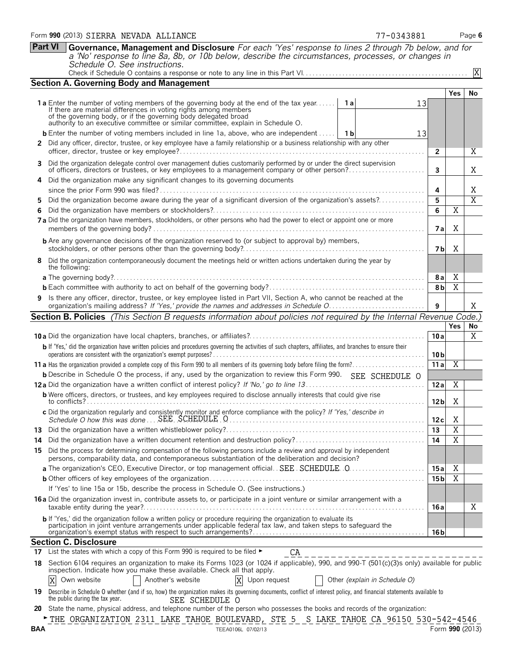|            | Schedule O. See instructions.                                                                                                                                                                                                                                                                                                            |                 |                         | X               |
|------------|------------------------------------------------------------------------------------------------------------------------------------------------------------------------------------------------------------------------------------------------------------------------------------------------------------------------------------------|-----------------|-------------------------|-----------------|
|            | <b>Section A. Governing Body and Management</b>                                                                                                                                                                                                                                                                                          |                 |                         |                 |
|            |                                                                                                                                                                                                                                                                                                                                          |                 | Yes.                    | No              |
|            | <b>1a</b> Enter the number of voting members of the governing body at the end of the tax year <b>1a</b><br>13<br>If there are material differences in voting rights among members<br>of the governing body, or if the governing body delegated broad<br>authority to an executive committee or similar committee, explain in Schedule O. |                 |                         |                 |
|            | <b>b</b> Enter the number of voting members included in line 1a, above, who are independent    1b<br>13                                                                                                                                                                                                                                  |                 |                         |                 |
|            | 2 Did any officer, director, trustee, or key employee have a family relationship or a business relationship with any other                                                                                                                                                                                                               | $\mathbf{2}$    |                         | Χ               |
| 3          | Did the organization delegate control over management duties customarily performed by or under the direct supervision<br>of officers, directors or trustees, or key employees to a management company or other person?                                                                                                                   | 3               |                         | Χ               |
|            | Did the organization make any significant changes to its governing documents                                                                                                                                                                                                                                                             |                 |                         |                 |
|            |                                                                                                                                                                                                                                                                                                                                          | 4               |                         | X               |
| 5          | Did the organization become aware during the year of a significant diversion of the organization's assets?                                                                                                                                                                                                                               | 5               |                         | $\overline{X}$  |
| 6          | 7a Did the organization have members, stockholders, or other persons who had the power to elect or appoint one or more                                                                                                                                                                                                                   | 6<br>7 al       | X<br>Χ                  |                 |
|            | <b>b</b> Are any governance decisions of the organization reserved to (or subject to approval by) members,                                                                                                                                                                                                                               | 7 bl            | Χ                       |                 |
| 8          | Did the organization contemporaneously document the meetings held or written actions undertaken during the year by<br>the following:                                                                                                                                                                                                     |                 |                         |                 |
|            | <b>a</b> The governing body?                                                                                                                                                                                                                                                                                                             | <b>8a</b>       | X                       |                 |
|            |                                                                                                                                                                                                                                                                                                                                          | 8 <sub>b</sub>  | $\overline{X}$          |                 |
| 9          | Is there any officer, director, trustee, or key employee listed in Part VII, Section A, who cannot be reached at the                                                                                                                                                                                                                     | 9               |                         | X               |
|            | Section B. Policies (This Section B requests information about policies not required by the Internal Revenue Code.)                                                                                                                                                                                                                      |                 |                         |                 |
|            |                                                                                                                                                                                                                                                                                                                                          |                 | Yes                     | No              |
|            |                                                                                                                                                                                                                                                                                                                                          | 10a             |                         | X               |
|            | b If 'Yes,' did the organization have written policies and procedures governing the activities of such chapters, affiliates, and branches to ensure their                                                                                                                                                                                |                 |                         |                 |
|            |                                                                                                                                                                                                                                                                                                                                          | 10 bl           |                         |                 |
|            |                                                                                                                                                                                                                                                                                                                                          | 11a             | Χ                       |                 |
|            | <b>b</b> Describe in Schedule O the process, if any, used by the organization to review this Form 990. SEE SCHEDULE O                                                                                                                                                                                                                    |                 |                         |                 |
|            |                                                                                                                                                                                                                                                                                                                                          | 12a             | Χ                       |                 |
|            | <b>b</b> Were officers, directors, or trustees, and key employees required to disclose annually interests that could give rise                                                                                                                                                                                                           | 12 <sub>b</sub> | Χ                       |                 |
|            | c Did the organization regularly and consistently monitor and enforce compliance with the policy? If 'Yes,' describe in                                                                                                                                                                                                                  | 12c             | Χ                       |                 |
|            |                                                                                                                                                                                                                                                                                                                                          | 13              | $\overline{\mathbf{X}}$ |                 |
|            |                                                                                                                                                                                                                                                                                                                                          | 14              | $\overline{\text{X}}$   |                 |
|            | 15 Did the process for determining compensation of the following persons include a review and approval by independent<br>persons, comparability data, and contemporaneous substantiation of the deliberation and decision?                                                                                                               |                 |                         |                 |
|            |                                                                                                                                                                                                                                                                                                                                          | 15a             | X                       |                 |
|            |                                                                                                                                                                                                                                                                                                                                          | 15 b            | $\overline{X}$          |                 |
|            | If 'Yes' to line 15a or 15b, describe the process in Schedule O. (See instructions.)                                                                                                                                                                                                                                                     |                 |                         |                 |
|            | <b>16a</b> Did the organization invest in, contribute assets to, or participate in a joint venture or similar arrangement with a                                                                                                                                                                                                         | 16 a            |                         | Χ               |
|            | b If 'Yes,' did the organization follow a written policy or procedure requiring the organization to evaluate its<br>participation in joint venture arrangements under applicable federal tax law, and taken steps to safeguard the                                                                                                       | 16 b            |                         |                 |
|            | <b>Section C. Disclosure</b>                                                                                                                                                                                                                                                                                                             |                 |                         |                 |
|            | 17 List the states with which a copy of this Form 990 is required to be filed $\blacktriangleright$<br>CA<br>________________________                                                                                                                                                                                                    |                 |                         |                 |
| 18.        | Section 6104 requires an organization to make its Forms 1023 (or 1024 if applicable), 990, and 990-T (501(c)(3)s only) available for public<br>inspection. Indicate how you make these available. Check all that apply.                                                                                                                  |                 |                         |                 |
|            | Own website<br>Another's website<br>X<br>Upon request<br>Other (explain in Schedule O)<br>Χ                                                                                                                                                                                                                                              |                 |                         |                 |
|            | 19 Describe in Schedule O whether (and if so, how) the organization makes its governing documents, conflict of interest policy, and financial statements available to<br>the public during the tax year.<br>SEE SCHEDULE O                                                                                                               |                 |                         |                 |
|            | 20 State the name, physical address, and telephone number of the person who possesses the books and records of the organization:                                                                                                                                                                                                         |                 |                         |                 |
| <b>BAA</b> | THE ORGANIZATION 2311 LAKE TAHOE BOULEVARD, STE 5 S LAKE TAHOE CA 96150 530-542-4546<br>TEEA0106L 07/02/13                                                                                                                                                                                                                               |                 |                         | Form 990 (2013) |
|            |                                                                                                                                                                                                                                                                                                                                          |                 |                         |                 |

**Part VI Governance, Management and Disclosure** *For each 'Yes' response to lines 2 through 7b below, and for a 'No' response to line 8a, 8b, or 10b below, describe the circumstances, processes, or changes in*

#### Form **990** (2013) Page **6** SIERRA NEVADA ALLIANCE 77-0343881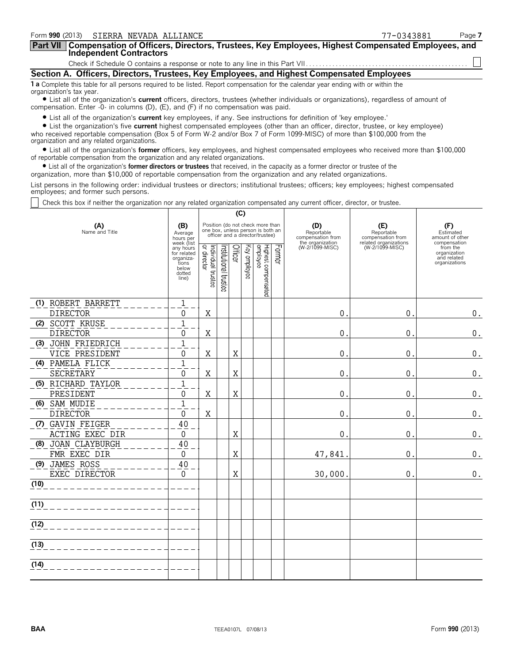| Form 990 (2013) SIERRA NEVADA ALLIANCE                                                                                                                                                                                         | 77-0343881 | Page 7 |
|--------------------------------------------------------------------------------------------------------------------------------------------------------------------------------------------------------------------------------|------------|--------|
| Part VII   Compensation of Officers, Directors, Trustees, Key Employees, Highest Compensated Employees, and<br><b>Independent Contractors</b>                                                                                  |            |        |
|                                                                                                                                                                                                                                |            |        |
| Section A. Officers, Directors, Trustees, Key Employees, and Highest Compensated Employees                                                                                                                                     |            |        |
| 1 a Complete this table for all persons required to be listed. Report compensation for the calendar year ending with or within the<br>organization's tax year.                                                                 |            |        |
| • List all of the organization's current officers, directors, trustees (whether individuals or organizations), regardless of amount of<br>compensation. Enter $-0$ - in columns (D), (E), and (F) if no compensation was paid. |            |        |
| • List all of the organization's <b>current</b> key employees, if any. See instructions for definition of 'key employee,'                                                                                                      |            |        |

? List all of the organization's **current** key employees, if any. See instructions for definition of 'key employee.'

? List the organization's five **current** highest compensated employees (other than an officer, director, trustee, or key employee) who received reportable compensation (Box 5 of Form W-2 and/or Box 7 of Form 1099-MISC) of more than \$100,000 from the organization and any related organizations.

? List all of the organization's **former** officers, key employees, and highest compensated employees who received more than \$100,000 of reportable compensation from the organization and any related organizations.

? List all of the organization's **former directors or trustees** that received, in the capacity as a former director or trustee of the

organization, more than \$10,000 of reportable compensation from the organization and any related organizations.

List persons in the following order: individual trustees or directors; institutional trustees; officers; key employees; highest compensated employees; and former such persons.

Check this box if neither the organization nor any related organization compensated any current officer, director, or trustee.

|                       |                                                                                          | (C)                               |                      |         |                 |                                                                                                          |        |                                        |                                          |                                                                          |
|-----------------------|------------------------------------------------------------------------------------------|-----------------------------------|----------------------|---------|-----------------|----------------------------------------------------------------------------------------------------------|--------|----------------------------------------|------------------------------------------|--------------------------------------------------------------------------|
| (A)<br>Name and Title | (B)<br>Average<br>hours per                                                              |                                   |                      |         |                 | Position (do not check more than<br>one box, unless person is both an<br>officer and a director/trustee) |        | (D)<br>Reportable<br>compensation from | (E)<br>Reportable<br>compensation from   | (F)<br>Estimated<br>amount of other                                      |
|                       | week (list<br>any hours<br>for related<br>organiza-<br>tions<br>below<br>dotted<br>line) | Individual trustee<br>or director | nstitutional trustee | Officer | ΚΘλ<br>employee | Highest compensated<br>employee                                                                          | Former | the organization<br>(W-2/1099-MISC)    | related organizations<br>(W-2/1099-MISC) | compensation<br>from the<br>organization<br>and related<br>organizations |
| (1) ROBERT BARRETT    | 1                                                                                        |                                   |                      |         |                 |                                                                                                          |        |                                        |                                          |                                                                          |
| <b>DIRECTOR</b>       | $\Omega$                                                                                 | Χ                                 |                      |         |                 |                                                                                                          |        | $\theta$ .                             | $\mathbf{0}$ .                           | $\boldsymbol{0}$ .                                                       |
| (2) SCOTT KRUSE       | $\mathbf{1}$                                                                             |                                   |                      |         |                 |                                                                                                          |        |                                        |                                          |                                                                          |
| <b>DIRECTOR</b>       | 0                                                                                        | Χ                                 |                      |         |                 |                                                                                                          |        | $\mathbf 0$ .                          | $\mathbf{0}$ .                           | $\boldsymbol{0}$ .                                                       |
| (3) JOHN FRIEDRICH    | 1                                                                                        |                                   |                      |         |                 |                                                                                                          |        |                                        |                                          |                                                                          |
| VICE PRESIDENT        | 0                                                                                        | Χ                                 |                      | X       |                 |                                                                                                          |        | $\overline{0}$ .                       | 0.                                       | $\boldsymbol{0}$ .                                                       |
| (4) PAMELA FLICK      | $\mathbf{1}$                                                                             |                                   |                      |         |                 |                                                                                                          |        |                                        |                                          |                                                                          |
| <b>SECRETARY</b>      | 0                                                                                        | Χ                                 |                      | X       |                 |                                                                                                          |        | 0.                                     | $\mathbf 0$ .                            | $\boldsymbol{0}$ .                                                       |
| (5) RICHARD TAYLOR    | $\mathbf{1}$                                                                             |                                   |                      |         |                 |                                                                                                          |        |                                        |                                          |                                                                          |
| PRESIDENT             | 0                                                                                        | Χ                                 |                      | X       |                 |                                                                                                          |        | 0.                                     | 0.                                       | $\boldsymbol{0}$ .                                                       |
| (6) SAM MUDIE         | $\mathbf{1}$                                                                             |                                   |                      |         |                 |                                                                                                          |        |                                        |                                          |                                                                          |
| <b>DIRECTOR</b>       | 0                                                                                        | X                                 |                      |         |                 |                                                                                                          |        | 0.                                     | $\mathbf 0$ .                            | $\boldsymbol{0}$ .                                                       |
| (7) GAVIN FEIGER      | 40                                                                                       |                                   |                      |         |                 |                                                                                                          |        |                                        |                                          |                                                                          |
| ACTING EXEC DIR       | 0                                                                                        |                                   |                      | X       |                 |                                                                                                          |        | 0.                                     | 0.                                       | $\boldsymbol{0}$ .                                                       |
| (8) JOAN CLAYBURGH    | 40                                                                                       |                                   |                      |         |                 |                                                                                                          |        |                                        |                                          |                                                                          |
| FMR EXEC DIR          | 0                                                                                        |                                   |                      | X       |                 |                                                                                                          |        | 47,841                                 | 0.                                       | $\boldsymbol{0}$ .                                                       |
| (9) JAMES ROSS        | 40                                                                                       |                                   |                      |         |                 |                                                                                                          |        |                                        |                                          |                                                                          |
| EXEC DIRECTOR         | $\mathbf{0}$                                                                             |                                   |                      | X       |                 |                                                                                                          |        | 30,000.                                | 0.                                       | 0.                                                                       |
| (10)                  |                                                                                          |                                   |                      |         |                 |                                                                                                          |        |                                        |                                          |                                                                          |
| (11)                  |                                                                                          |                                   |                      |         |                 |                                                                                                          |        |                                        |                                          |                                                                          |
| (12)                  |                                                                                          |                                   |                      |         |                 |                                                                                                          |        |                                        |                                          |                                                                          |
| (13)                  |                                                                                          |                                   |                      |         |                 |                                                                                                          |        |                                        |                                          |                                                                          |
|                       |                                                                                          |                                   |                      |         |                 |                                                                                                          |        |                                        |                                          |                                                                          |
| (14)                  |                                                                                          |                                   |                      |         |                 |                                                                                                          |        |                                        |                                          |                                                                          |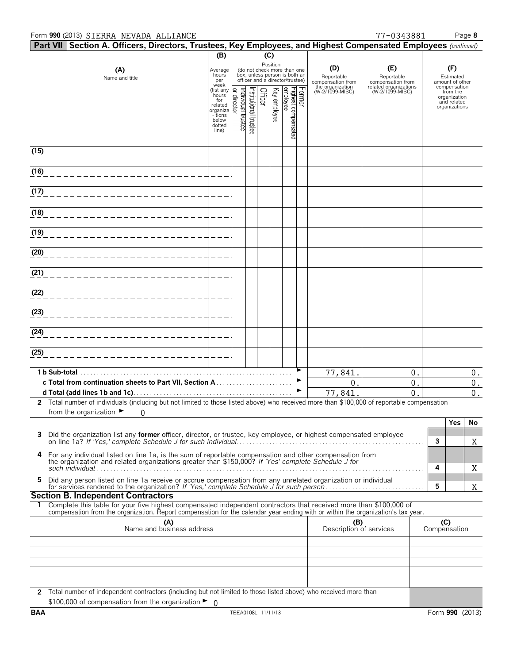#### Form **990** (2013) Page **8** SIERRA NEVADA ALLIANCE 77-0343881

|      | Part VII Section A. Officers, Directors, Trustees, Key Employees, and Highest Compensated Employees (continued)                                                                                                                                                                                       |                                                                                         |                        |                      |         |              |                                                                                                 |        |                                        |                                          |                                                     |                                                          |       |
|------|-------------------------------------------------------------------------------------------------------------------------------------------------------------------------------------------------------------------------------------------------------------------------------------------------------|-----------------------------------------------------------------------------------------|------------------------|----------------------|---------|--------------|-------------------------------------------------------------------------------------------------|--------|----------------------------------------|------------------------------------------|-----------------------------------------------------|----------------------------------------------------------|-------|
|      |                                                                                                                                                                                                                                                                                                       | (B)                                                                                     |                        |                      | (C)     |              |                                                                                                 |        |                                        |                                          |                                                     |                                                          |       |
|      | (A)<br>Name and title                                                                                                                                                                                                                                                                                 | Average<br>hours<br>per<br>week                                                         |                        |                      |         | Position     | (do not check more than one<br>box, unless person is both an<br>officer and a director/trustee) |        | (D)<br>Reportable<br>compensation from | (E)<br>Reportable<br>compensation from   | (F)<br>Estimated<br>amount of other<br>compensation |                                                          |       |
|      |                                                                                                                                                                                                                                                                                                       | (list any<br>hours<br>for<br>related<br>organiza<br>- tions<br>below<br>dotted<br>line) | R<br>ndividual trustee | rstitutional trustee | Officer | Key employee | employee<br>Highest compensated                                                                 | Former | the organization<br>(W-2/1099-MISC)    | related organizations<br>(W-2/1099-MISC) |                                                     | from the<br>organization<br>and related<br>organizations |       |
| (15) |                                                                                                                                                                                                                                                                                                       |                                                                                         |                        |                      |         |              |                                                                                                 |        |                                        |                                          |                                                     |                                                          |       |
| (16) |                                                                                                                                                                                                                                                                                                       |                                                                                         |                        |                      |         |              |                                                                                                 |        |                                        |                                          |                                                     |                                                          |       |
| (17) |                                                                                                                                                                                                                                                                                                       |                                                                                         |                        |                      |         |              |                                                                                                 |        |                                        |                                          |                                                     |                                                          |       |
| (18) |                                                                                                                                                                                                                                                                                                       |                                                                                         |                        |                      |         |              |                                                                                                 |        |                                        |                                          |                                                     |                                                          |       |
| (19) |                                                                                                                                                                                                                                                                                                       |                                                                                         |                        |                      |         |              |                                                                                                 |        |                                        |                                          |                                                     |                                                          |       |
| (20) |                                                                                                                                                                                                                                                                                                       |                                                                                         |                        |                      |         |              |                                                                                                 |        |                                        |                                          |                                                     |                                                          |       |
| (21) |                                                                                                                                                                                                                                                                                                       |                                                                                         |                        |                      |         |              |                                                                                                 |        |                                        |                                          |                                                     |                                                          |       |
| (22) |                                                                                                                                                                                                                                                                                                       |                                                                                         |                        |                      |         |              |                                                                                                 |        |                                        |                                          |                                                     |                                                          |       |
| (23) |                                                                                                                                                                                                                                                                                                       |                                                                                         |                        |                      |         |              |                                                                                                 |        |                                        |                                          |                                                     |                                                          |       |
| (24) |                                                                                                                                                                                                                                                                                                       |                                                                                         |                        |                      |         |              |                                                                                                 |        |                                        |                                          |                                                     |                                                          |       |
| (25) |                                                                                                                                                                                                                                                                                                       |                                                                                         |                        |                      |         |              |                                                                                                 |        |                                        |                                          |                                                     |                                                          |       |
|      | 1 b Sub-total.                                                                                                                                                                                                                                                                                        |                                                                                         |                        |                      |         |              |                                                                                                 |        | 77,841                                 | 0.                                       |                                                     |                                                          | 0.    |
|      |                                                                                                                                                                                                                                                                                                       |                                                                                         |                        |                      |         |              |                                                                                                 |        | 0.                                     | $\mathbf{0}$ .                           |                                                     |                                                          | 0.    |
|      |                                                                                                                                                                                                                                                                                                       |                                                                                         |                        |                      |         |              |                                                                                                 |        | 77,841                                 | 0                                        |                                                     |                                                          | $0$ . |
|      | 2 Total number of individuals (including but not limited to those listed above) who received more than \$100,000 of reportable compensation<br>from the organization $\blacktriangleright$<br>0                                                                                                       |                                                                                         |                        |                      |         |              |                                                                                                 |        |                                        |                                          |                                                     |                                                          |       |
|      | Did the organization list any <b>former</b> officer, director, or trustee, key employee, or highest compensated employee                                                                                                                                                                              |                                                                                         |                        |                      |         |              |                                                                                                 |        |                                        |                                          | 3                                                   | Yes                                                      | No    |
| 4    | For any individual listed on line 1a, is the sum of reportable compensation and other compensation from the organization and related organizations greater than \$150,000? If 'Yes' complete Schedule J for                                                                                           |                                                                                         |                        |                      |         |              |                                                                                                 |        |                                        |                                          |                                                     |                                                          | X     |
| 5.   | Did any person listed on line 1a receive or accrue compensation from any unrelated organization or individual                                                                                                                                                                                         |                                                                                         |                        |                      |         |              |                                                                                                 |        |                                        |                                          | 4                                                   |                                                          | X     |
|      |                                                                                                                                                                                                                                                                                                       |                                                                                         |                        |                      |         |              |                                                                                                 |        |                                        |                                          | 5                                                   |                                                          | X     |
|      | <b>Section B. Independent Contractors</b><br>1 Complete this table for your five highest compensated independent contractors that received more than \$100,000 of<br>compensation from the organization. Report compensation for the calendar year ending with or within the organization's tax year. |                                                                                         |                        |                      |         |              |                                                                                                 |        |                                        |                                          |                                                     |                                                          |       |
|      | (A)<br>Name and business address                                                                                                                                                                                                                                                                      |                                                                                         |                        |                      |         |              |                                                                                                 |        | (B)<br>Description of services         |                                          | (C)<br>Compensation                                 |                                                          |       |
|      |                                                                                                                                                                                                                                                                                                       |                                                                                         |                        |                      |         |              |                                                                                                 |        |                                        |                                          |                                                     |                                                          |       |
|      |                                                                                                                                                                                                                                                                                                       |                                                                                         |                        |                      |         |              |                                                                                                 |        |                                        |                                          |                                                     |                                                          |       |
|      |                                                                                                                                                                                                                                                                                                       |                                                                                         |                        |                      |         |              |                                                                                                 |        |                                        |                                          |                                                     |                                                          |       |
|      | 2 Total number of independent contractors (including but not limited to those listed above) who received more than                                                                                                                                                                                    |                                                                                         |                        |                      |         |              |                                                                                                 |        |                                        |                                          |                                                     |                                                          |       |
|      | \$100,000 of compensation from the organization $\blacktriangleright$ 0                                                                                                                                                                                                                               |                                                                                         |                        |                      |         |              |                                                                                                 |        |                                        |                                          |                                                     |                                                          |       |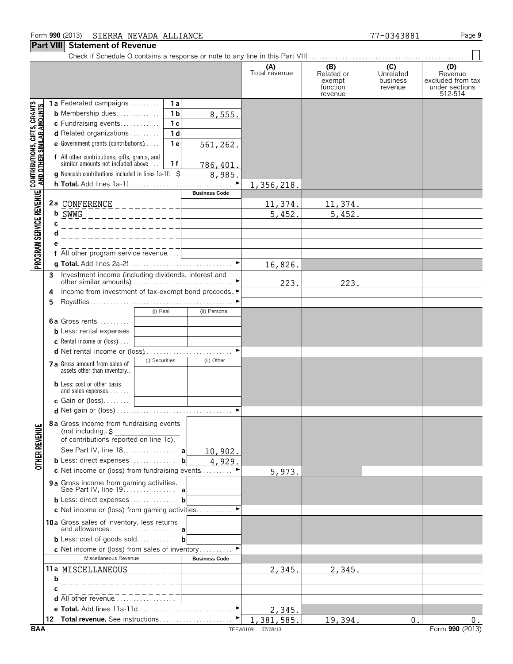# **Part VIII Statement of Revenue**

PROGRAM SERVICE REVENUE | CONTRIBUTIONS, GIFTS, GRANTS<br>PROGRAM SERVICE REVENUE | AND OTHER SIMILAR AMOUNTS

Check if Schedule O contains a response or note to any line in this Part VIII. . . . . . . . . . . . . . . . . . . . . . . . . . . . . . . . . . . . . . . . . . . . . . . . .

|   |                                                                                     |                |     |                      | (A)<br>Total revenue | (B)<br>Related or<br>exempt<br>function<br>revenue | (C)<br>Unrelated<br>business<br>revenue | (D)<br>Revenue<br>excluded from tax<br>under sections<br>512-514 |
|---|-------------------------------------------------------------------------------------|----------------|-----|----------------------|----------------------|----------------------------------------------------|-----------------------------------------|------------------------------------------------------------------|
|   | <b>1a</b> Federated campaigns                                                       |                | 1 a |                      |                      |                                                    |                                         |                                                                  |
|   | <b>b</b> Membership dues                                                            |                | 1 b | 8,555.               |                      |                                                    |                                         |                                                                  |
|   | c Fundraising events                                                                |                | 1 c |                      |                      |                                                    |                                         |                                                                  |
|   | <b>d</b> Related organizations $\ldots$                                             |                | 1 d |                      |                      |                                                    |                                         |                                                                  |
|   | <b>e</b> Government grants (contributions) $\ldots$                                 |                | 1 e | 561, 262.            |                      |                                                    |                                         |                                                                  |
|   | f All other contributions, gifts, grants, and<br>similar amounts not included above |                | 1 f | <u>786,401.</u>      |                      |                                                    |                                         |                                                                  |
|   | <b>g</b> Noncash contributions included in lines $1a-1f$ : $\zeta$                  |                |     | 8,985.               |                      |                                                    |                                         |                                                                  |
|   |                                                                                     |                |     |                      | 1, 356, 218.         |                                                    |                                         |                                                                  |
|   |                                                                                     |                |     | <b>Business Code</b> |                      |                                                    |                                         |                                                                  |
|   | 2a CONFERENCE ___________                                                           |                |     |                      | 11,374.              | 11,374.                                            |                                         |                                                                  |
|   | <b>b</b> $\frac{SWWG}{S}$ _ _ _ _ _ _ _ _ _ _ _ _ _ _ _ _                           |                |     |                      | 5,452                | 5,452.                                             |                                         |                                                                  |
| С |                                                                                     |                |     |                      |                      |                                                    |                                         |                                                                  |
|   |                                                                                     |                |     |                      |                      |                                                    |                                         |                                                                  |
|   |                                                                                     |                |     |                      |                      |                                                    |                                         |                                                                  |
|   | f All other program service revenue                                                 |                |     |                      |                      |                                                    |                                         |                                                                  |
|   |                                                                                     |                |     |                      | 16,826.              |                                                    |                                         |                                                                  |
|   | 3 Investment income (including dividends, interest and                              |                |     |                      | 223                  | 223.                                               |                                         |                                                                  |
| 4 | Income from investment of tax-exempt bond proceeds.                                 |                |     |                      |                      |                                                    |                                         |                                                                  |
| 5 |                                                                                     |                |     |                      |                      |                                                    |                                         |                                                                  |
|   |                                                                                     | (i) Real       |     | (ii) Personal        |                      |                                                    |                                         |                                                                  |
|   | <b>6a</b> Gross rents                                                               |                |     |                      |                      |                                                    |                                         |                                                                  |
|   | <b>b</b> Less: rental expenses                                                      |                |     |                      |                      |                                                    |                                         |                                                                  |
|   | <b>c</b> Rental income or (loss) $\ldots$                                           |                |     |                      |                      |                                                    |                                         |                                                                  |
|   |                                                                                     |                |     |                      |                      |                                                    |                                         |                                                                  |
|   | 7 a Gross amount from sales of                                                      | (i) Securities |     | (ii) Other           |                      |                                                    |                                         |                                                                  |
|   | assets other than inventory                                                         |                |     |                      |                      |                                                    |                                         |                                                                  |
|   | <b>b</b> Less: cost or other basis<br>and sales expenses $\dots$ .                  |                |     |                      |                      |                                                    |                                         |                                                                  |
|   | <b>c</b> Gain or (loss). $\ldots$ .                                                 |                |     |                      |                      |                                                    |                                         |                                                                  |
|   |                                                                                     |                |     |                      |                      |                                                    |                                         |                                                                  |
|   | 8 a Gross income from fundraising events<br>of contributions reported on line 1c).  |                |     |                      |                      |                                                    |                                         |                                                                  |
|   | See Part IV, line 18. a                                                             |                |     | 10,902.              |                      |                                                    |                                         |                                                                  |
|   | <b>b</b> Less: direct expenses                                                      |                | b   | 4,929.               |                      |                                                    |                                         |                                                                  |
|   | c Net income or (loss) from fundraising events $\dots\dots\dots$                    |                |     |                      | 5,973.               |                                                    |                                         |                                                                  |
|   | 9a Gross income from gaming activities.<br>See Part IV, line 19. a                  |                |     |                      |                      |                                                    |                                         |                                                                  |
|   | <b>b</b> Less: direct expenses                                                      |                | b   |                      |                      |                                                    |                                         |                                                                  |
|   | <b>c</b> Net income or (loss) from gaming activities                                |                |     |                      |                      |                                                    |                                         |                                                                  |
|   | 10a Groce cales of inventory less returns                                           |                |     |                      |                      |                                                    |                                         |                                                                  |

| <b>c</b> Net income or (loss) from gaming activities           |                      |            |         |    |
|----------------------------------------------------------------|----------------------|------------|---------|----|
| 10a Gross sales of inventory, less returns                     |                      |            |         |    |
| <b>b</b> Less: cost of goods sold <b>b</b>                     |                      |            |         |    |
| <b>c</b> Net income or (loss) from sales of inventory          |                      |            |         |    |
| Miscellaneous Revenue                                          | <b>Business Code</b> |            |         |    |
| 11a MISCELLANEOUS                                              |                      | 2,345.     | 2,345.  |    |
|                                                                |                      |            |         |    |
|                                                                |                      |            |         |    |
| <b>d</b> All other revenue $\ldots$ $\ldots$ $\ldots$ $\ldots$ |                      |            |         |    |
|                                                                |                      | 2,345.     |         |    |
| 12.                                                            |                      | 1,381,585. | 19,394. | 0. |

**OTHER REVENUE** 

 $\Box$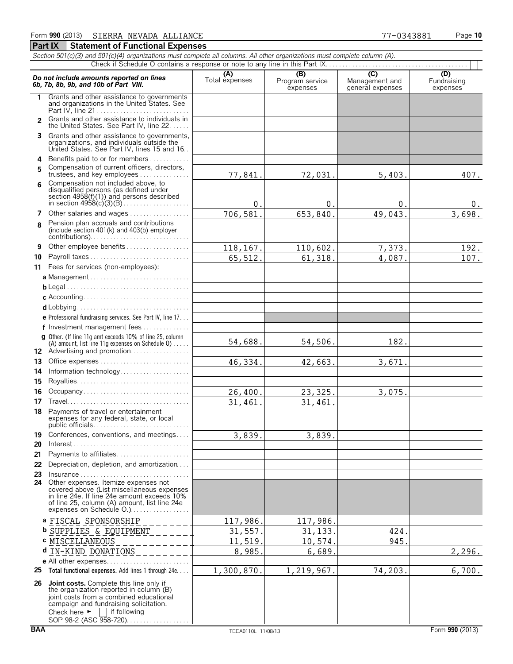#### *Section 501(c)(3) and 501(c)(4) organizations must complete all columns. All other organizations must complete column (A).* Check if Schedule O contains a response or note to any line in this Part IX. **Do not include amounts reported on lines**<br> **C)** (D)<br> **C)** (D)<br> **C)** (D)<br> **C)** (D)<br> **C)** (D)<br> **C)** (D)<br> **C)** (D)<br> **C)**<br> **C**)<br> **C**)<br> **C**)<br> **C**)<br> **C**)<br> **C**)<br> **C**)<br> **C**)<br> **C**)<br> **C**<br> **C**)<br> **C**<br> **C**<br> **C**<br> **C**<br> **C**<br> **C**<br> **C**<br> **C 1** Grants and other assistance to governments and organizations in the United States. See Part IV, line 21 . . . . . . . . . . . . . . . . . . . . . . . . . . . . Grants and other assistance to individuals in **2** the United States. See Part IV, line 22 . . . . . . **3** Grants and other assistance to governments, organizations, and individuals outside the United States. See Part IV, lines 15 and 16. . **4** Benefits paid to or for members. . . . . . . . . . . . . Compensation of current officers, directors, **5** trustees, and key employees.............. Compensation not included above, to **6** disqualified persons (as defined under section 4958(f)(1)) and persons described in section 4958(c)(3)(B). . . . . . . . . . . . . . . . . . . . **7** Other salaries and wages................ Pension plan accruals and contributions **8** (include section 401(k) and 403(b) employer contributions). . . . . . . . . . . . . . . . . . . . . . . . . . . . . . **9** Other employee benefits . . . . . . . . **10** Payroll taxes . . . . . . . . . . . . . . . . . . . . . . . . . . . . . . **11** Fees for services (non-employees): **a** Management . . . . . . . . . . . . . . . . . . . . . . . . . . . . . . **b** Legal. . . . . . . . . . . . . . . . . . . . . . . . . . . . . . . . . . . . . . **c** Accounting. . . . . . . . . . . . . . . . . . . . . . . . . . . . . . . . **d** Lobbying. . . . . . . . . . . . . . . . . . . . . . . . . . . . . . . . . . **e** Professional fundraising services. See Part IV, line 17. . . **f** Investment management fees. . . . . . . . . . . . . . . **g** Other. (If line 11g amt exceeds 10% of line 25, column (A) amount, list line 11g expenses on Schedule  $0$ )..... 12 Advertising and promotion................. **13** Office expenses. . . . . . . . . . . . . . . . . . . . . . . . . . . . **14** Information technology. . . . . . . . . . . . . . **15** Royalties. . . . . . . . . . . . . . . . . . . **16** Occupancy . . . . . . . . . . . . . **17** Travel. . . . . . . . . . . . . . . . . . . . . . . . . . . . . . . . . . . . . **18** Payments of travel or entertainment expenses for any federal, state, or local public officials. . . . . . . . . . . . . . . . . . . . . . . . . . . . . **19** Conferences, conventions, and meetings.... **20** Interest. . . . . . . . . . . . . . . . . . . . . . . . . . . . . . . . . . . . **21** Payments to affiliates. . . . . . . . . . . . . . . . . . . . . . **22** Depreciation, depletion, and amortization. . . . **23** Insurance . . . . . . . . . . . . . . . . . . . . . . . . . . . . . . . . . **24** Other expenses. Itemize expenses not covered above (List miscellaneous expenses in line 24e. If line 24e amount exceeds 10% of line 25, column (A) amount, list line 24e expenses on Schedule O.).................. **a** FISCAL SPONSORSHIP **b** SUPPLIES & EQUIPMENT **c** MISCELLANEOUS **d** IN-KIND DONATIONS**e** All other expenses. . . . . . . . . . . . . . . . . . . . . . . . . **25 Total functional expenses.** Add lines 1 through 24e. . . . **26 Joint costs.** Complete this line only if the organization reported in column (B) joint costs from a combined educational campaign and fundraising solicitation.<br>Check here  $\blacktriangleright \Box$  if following  $\Box$  if following 77,841. 72,031. 5,403. 407.  $0.$  0. 0. 0. 0. 706,581. 653,840. 49,043. 3,698. <u>118,167. 110,602. 7,373. 192.</u> 65,512. 61,318. 4,087. 107. 54,688. 54,506. 182. 46,334. 42,663. 3,671. 26,400. 23,325. 3,075. 31,461. 31,461. 3,839. 3,839. 117,986. 117,986 31,557. 31,133. 424. 11,519. 10,574. 945  $8,985.$  6,689. 2,296. 1,300,870. 1,219,967. 74,203. 6,700.

SOP 98-2 (ASC 958-720). . . . . . . . . . . . . . . . .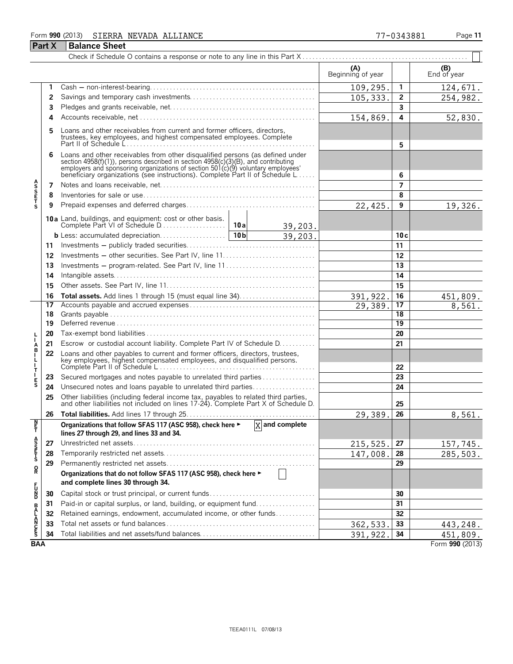### Form **990** (2013) Page **11** SIERRA NEVADA ALLIANCE 77-0343881 **Part X Balance Sheet**

|                    |    |                                                                                                                                                                                                                                                                                                                      |  |         | (A)<br>Beginning of year |                 | (B)<br>End of year |
|--------------------|----|----------------------------------------------------------------------------------------------------------------------------------------------------------------------------------------------------------------------------------------------------------------------------------------------------------------------|--|---------|--------------------------|-----------------|--------------------|
|                    | 1  |                                                                                                                                                                                                                                                                                                                      |  |         | 109,295.                 | $\mathbf{1}$    | 124,671.           |
|                    | 2  |                                                                                                                                                                                                                                                                                                                      |  |         | 105, 333.                | $\overline{2}$  | 254,982.           |
|                    | 3  |                                                                                                                                                                                                                                                                                                                      |  |         |                          | 3               |                    |
|                    | 4  |                                                                                                                                                                                                                                                                                                                      |  |         | 154,869.                 | 4               | 52,830.            |
|                    | 5  | Loans and other receivables from current and former officers, directors,<br>trustees, key employees, and highest compensated employees. Complete                                                                                                                                                                     |  |         |                          | 5               |                    |
|                    | 6  | Loans and other receivables from other disqualified persons (as defined under<br>section 4958(f)(1)), persons described in section 4958(c)(3)(B), and contributing<br>employers and sponsoring organizations of section 501(c)(9) voluntary employees<br>beneficiary organizations (see instructions). Complete Part |  |         | 6                        |                 |                    |
|                    | 7  |                                                                                                                                                                                                                                                                                                                      |  |         |                          | 7               |                    |
| <b>ASSETS</b>      | 8  |                                                                                                                                                                                                                                                                                                                      |  |         |                          | 8               |                    |
|                    | 9  |                                                                                                                                                                                                                                                                                                                      |  |         | 22,425.                  | 9               | 19,326.            |
|                    |    |                                                                                                                                                                                                                                                                                                                      |  | 39,203. |                          |                 |                    |
|                    |    |                                                                                                                                                                                                                                                                                                                      |  | 39,203. |                          | 10c             |                    |
|                    | 11 |                                                                                                                                                                                                                                                                                                                      |  |         |                          | 11              |                    |
|                    | 12 |                                                                                                                                                                                                                                                                                                                      |  |         |                          | 12              |                    |
|                    | 13 | Investments – program-related. See Part IV, line 11                                                                                                                                                                                                                                                                  |  |         | 13                       |                 |                    |
|                    | 14 |                                                                                                                                                                                                                                                                                                                      |  |         | 14                       |                 |                    |
|                    | 15 |                                                                                                                                                                                                                                                                                                                      |  |         |                          | $\overline{15}$ |                    |
|                    | 16 |                                                                                                                                                                                                                                                                                                                      |  |         | 391, 922.                | 16              | 451,809.           |
|                    | 17 |                                                                                                                                                                                                                                                                                                                      |  |         | 29,389.                  | $\overline{17}$ | 8,561.             |
|                    | 18 |                                                                                                                                                                                                                                                                                                                      |  |         | 18                       |                 |                    |
|                    | 19 |                                                                                                                                                                                                                                                                                                                      |  |         |                          | $\overline{19}$ |                    |
|                    | 20 |                                                                                                                                                                                                                                                                                                                      |  |         |                          | 20              |                    |
| A<br>B             | 21 | Escrow or custodial account liability. Complete Part IV of Schedule D.                                                                                                                                                                                                                                               |  |         |                          | 21              |                    |
| $\frac{1}{1}$<br>T | 22 | Loans and other payables to current and former officers, directors, trustees,<br>key employees, highest compensated employees, and disqualified persons.                                                                                                                                                             |  |         |                          | 22              |                    |
|                    | 23 | Secured mortgages and notes payable to unrelated third parties                                                                                                                                                                                                                                                       |  |         |                          | 23              |                    |
| $_{\rm S}^{\rm E}$ | 24 | Unsecured notes and loans payable to unrelated third parties                                                                                                                                                                                                                                                         |  |         |                          | 24              |                    |
|                    | 25 | Other liabilities (including federal income tax, payables to related third parties, and other liabilities not included on lines 17-24). Complete Part X of Schedule D.                                                                                                                                               |  |         |                          | 25              |                    |
|                    | 26 |                                                                                                                                                                                                                                                                                                                      |  |         | 29,389.                  | 26              | 8,561.             |
| Ņ<br>Ŧ,            |    | Organizations that follow SFAS 117 (ASC 958), check here $\blacktriangleright$ $\boxed{X}$ and complete<br>lines 27 through 29, and lines 33 and 34.                                                                                                                                                                 |  |         |                          |                 |                    |
|                    | 27 |                                                                                                                                                                                                                                                                                                                      |  |         | 215,525.                 | 27              | 157,745.           |
| A<br>SSET<br>S     | 28 |                                                                                                                                                                                                                                                                                                                      |  |         | 147,008.                 | 28              | 285,503.           |
|                    | 29 |                                                                                                                                                                                                                                                                                                                      |  |         |                          | 29              |                    |
| R                  |    | Organizations that do not follow SFAS 117 (ASC 958), check here ►                                                                                                                                                                                                                                                    |  |         |                          |                 |                    |
|                    |    | and complete lines 30 through 34.                                                                                                                                                                                                                                                                                    |  |         |                          |                 |                    |
| r<br>D<br>D        | 30 | Capital stock or trust principal, or current funds                                                                                                                                                                                                                                                                   |  |         | 30                       |                 |                    |
|                    | 31 | Paid-in or capital surplus, or land, building, or equipment fund                                                                                                                                                                                                                                                     |  |         |                          | 31              |                    |
|                    | 32 | Retained earnings, endowment, accumulated income, or other funds                                                                                                                                                                                                                                                     |  |         |                          | 32              |                    |
| <b>BALANCES</b>    | 33 |                                                                                                                                                                                                                                                                                                                      |  |         | 362,533                  | 33              | 443, 248.          |
|                    | 34 |                                                                                                                                                                                                                                                                                                                      |  |         | 391, 922.                | 34              | 451,809.           |
| <b>BAA</b>         |    |                                                                                                                                                                                                                                                                                                                      |  |         |                          |                 | Form 990 (2013)    |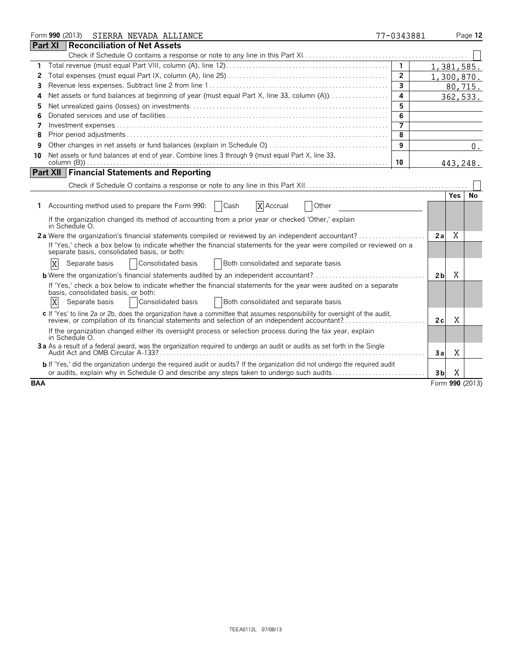|            | Form 990 (2013) SIERRA NEVADA ALLIANCE                                                                                                                                                                                        | 77-0343881              |                |            | Page 12         |
|------------|-------------------------------------------------------------------------------------------------------------------------------------------------------------------------------------------------------------------------------|-------------------------|----------------|------------|-----------------|
|            | <b>Part XI</b><br>Reconciliation of Net Assets                                                                                                                                                                                |                         |                |            |                 |
|            |                                                                                                                                                                                                                               |                         |                |            |                 |
| 1          |                                                                                                                                                                                                                               | $\mathbf{1}$            |                | 1,381,585. |                 |
| 2          |                                                                                                                                                                                                                               | $\overline{2}$          |                | 1,300,870. |                 |
| 3          |                                                                                                                                                                                                                               | $\overline{\mathbf{3}}$ |                | 80,715.    |                 |
| 4          | Net assets or fund balances at beginning of year (must equal Part X, line 33, column (A))                                                                                                                                     | $\overline{a}$          |                |            | 362,533.        |
| 5          |                                                                                                                                                                                                                               | 5                       |                |            |                 |
| 6          |                                                                                                                                                                                                                               | 6                       |                |            |                 |
| 7          |                                                                                                                                                                                                                               | 7                       |                |            |                 |
| 8          |                                                                                                                                                                                                                               | 8                       |                |            |                 |
| 9          |                                                                                                                                                                                                                               | 9                       |                |            | 0.              |
| 10         | Net assets or fund balances at end of year. Combine lines 3 through 9 (must equal Part X, line 33,                                                                                                                            |                         |                |            |                 |
|            |                                                                                                                                                                                                                               | 10                      |                | 443,248.   |                 |
|            | <b>Part XII Financial Statements and Reporting</b>                                                                                                                                                                            |                         |                |            |                 |
|            |                                                                                                                                                                                                                               |                         |                |            |                 |
|            |                                                                                                                                                                                                                               |                         |                | <b>Yes</b> | <b>No</b>       |
| 1.         | Accounting method used to prepare the Form 990:<br>Cash<br>X Accrual<br>Other                                                                                                                                                 |                         |                |            |                 |
|            | If the organization changed its method of accounting from a prior year or checked 'Other,' explain<br>in Schedule O.                                                                                                          |                         |                |            |                 |
|            |                                                                                                                                                                                                                               |                         | 2a             | X          |                 |
|            | If 'Yes,' check a box below to indicate whether the financial statements for the year were compiled or reviewed on a<br>separate basis, consolidated basis, or both:                                                          |                         |                |            |                 |
|            | Consolidated basis<br>Both consolidated and separate basis<br>X<br>Separate basis                                                                                                                                             |                         |                |            |                 |
|            | <b>b</b> Were the organization's financial statements audited by an independent accountant?                                                                                                                                   |                         | 2 <sub>b</sub> | X          |                 |
|            | If 'Yes,' check a box below to indicate whether the financial statements for the year were audited on a separate<br>basis, consolidated basis, or both:                                                                       |                         |                |            |                 |
|            | X<br>Consolidated basis<br>Both consolidated and separate basis<br>Separate basis                                                                                                                                             |                         |                |            |                 |
|            | c If 'Yes' to line 2a or 2b, does the organization have a committee that assumes responsibility for oversight of the audit,<br>review, or compilation of its financial statements and selection of an independent accountant? |                         | 2c             | X          |                 |
|            | If the organization changed either its oversight process or selection process during the tax year, explain<br>in Schedule O.                                                                                                  |                         |                |            |                 |
|            | 3a As a result of a federal award, was the organization required to undergo an audit or audits as set forth in the Single                                                                                                     |                         | 3a             | X          |                 |
|            | <b>b</b> If 'Yes,' did the organization undergo the required audit or audits? If the organization did not undergo the required audit                                                                                          |                         |                |            |                 |
|            | or audits, explain why in Schedule O and describe any steps taken to undergo such audits                                                                                                                                      |                         | 3b             | X          |                 |
| <b>BAA</b> |                                                                                                                                                                                                                               |                         |                |            | Form 990 (2013) |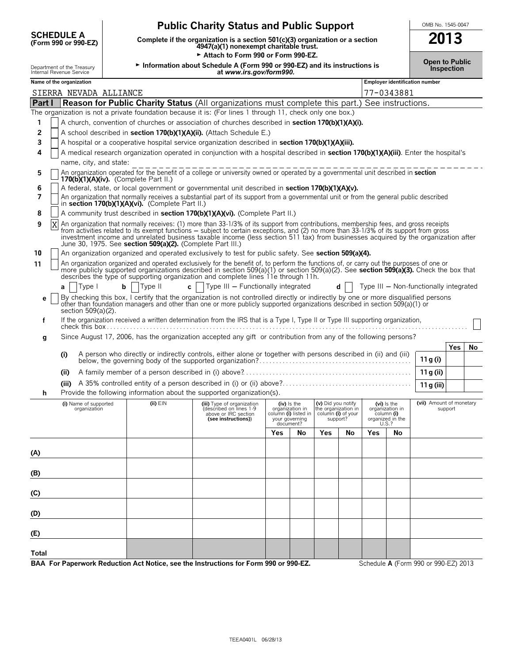| <b>SCHEDULE A</b><br>(Form 990 or 990-EZ)              | <b>Public Charity Status and Public Support</b><br>Complete if the organization is a section 501(c)(3) organization or a section 4947(a)(1) nonexempt charitable trust. | OMB No. 1545-0047<br>2013 |
|--------------------------------------------------------|-------------------------------------------------------------------------------------------------------------------------------------------------------------------------|---------------------------|
|                                                        | Attach to Form 990 or Form 990-EZ.                                                                                                                                      | <b>Open to Public</b>     |
| Department of the Treasury<br>Internal Revenue Service | Information about Schedule A (Form 990 or 990-EZ) and its instructions is<br>at www.irs.gov/form990.                                                                    |                           |
| Name of the organization                               | Employer identification number                                                                                                                                          |                           |

|              |                                                                                                                                                                                                                                                                                          | SIERRA NEVADA ALLIANCE                                                                                                                                                                                                                                                                                                                                               |                                                            |                                                                                                                                                                                                                                                                                                                                                                                                                      |     |                                                                                       |                                                                             |    |                                                                             | 77-0343881 |                                     |            |    |
|--------------|------------------------------------------------------------------------------------------------------------------------------------------------------------------------------------------------------------------------------------------------------------------------------------------|----------------------------------------------------------------------------------------------------------------------------------------------------------------------------------------------------------------------------------------------------------------------------------------------------------------------------------------------------------------------|------------------------------------------------------------|----------------------------------------------------------------------------------------------------------------------------------------------------------------------------------------------------------------------------------------------------------------------------------------------------------------------------------------------------------------------------------------------------------------------|-----|---------------------------------------------------------------------------------------|-----------------------------------------------------------------------------|----|-----------------------------------------------------------------------------|------------|-------------------------------------|------------|----|
| Part I       |                                                                                                                                                                                                                                                                                          |                                                                                                                                                                                                                                                                                                                                                                      |                                                            | Reason for Public Charity Status (All organizations must complete this part.) See instructions.                                                                                                                                                                                                                                                                                                                      |     |                                                                                       |                                                                             |    |                                                                             |            |                                     |            |    |
|              |                                                                                                                                                                                                                                                                                          |                                                                                                                                                                                                                                                                                                                                                                      |                                                            | The organization is not a private foundation because it is: (For lines 1 through 11, check only one box.)                                                                                                                                                                                                                                                                                                            |     |                                                                                       |                                                                             |    |                                                                             |            |                                     |            |    |
| 1            |                                                                                                                                                                                                                                                                                          |                                                                                                                                                                                                                                                                                                                                                                      |                                                            | A church, convention of churches or association of churches described in section 170(b)(1)(A)(i).                                                                                                                                                                                                                                                                                                                    |     |                                                                                       |                                                                             |    |                                                                             |            |                                     |            |    |
| 2            |                                                                                                                                                                                                                                                                                          |                                                                                                                                                                                                                                                                                                                                                                      |                                                            | A school described in section 170(b)(1)(A)(ii). (Attach Schedule E.)                                                                                                                                                                                                                                                                                                                                                 |     |                                                                                       |                                                                             |    |                                                                             |            |                                     |            |    |
| 3            |                                                                                                                                                                                                                                                                                          |                                                                                                                                                                                                                                                                                                                                                                      |                                                            | A hospital or a cooperative hospital service organization described in section 170(b)(1)(A)(iii).                                                                                                                                                                                                                                                                                                                    |     |                                                                                       |                                                                             |    |                                                                             |            |                                     |            |    |
| 4            |                                                                                                                                                                                                                                                                                          |                                                                                                                                                                                                                                                                                                                                                                      |                                                            | A medical research organization operated in conjunction with a hospital described in section 170(b)(1)(A)(iii). Enter the hospital's                                                                                                                                                                                                                                                                                 |     |                                                                                       |                                                                             |    |                                                                             |            |                                     |            |    |
|              |                                                                                                                                                                                                                                                                                          | name, city, and state:                                                                                                                                                                                                                                                                                                                                               |                                                            |                                                                                                                                                                                                                                                                                                                                                                                                                      |     |                                                                                       |                                                                             |    |                                                                             |            |                                     |            |    |
| 5            |                                                                                                                                                                                                                                                                                          | $170(b)(1)(A)(iv)$ . (Complete Part II.)                                                                                                                                                                                                                                                                                                                             |                                                            | An organization operated for the benefit of a college or university owned or operated by a governmental unit described in section                                                                                                                                                                                                                                                                                    |     |                                                                                       |                                                                             |    |                                                                             |            |                                     |            |    |
| 6            |                                                                                                                                                                                                                                                                                          |                                                                                                                                                                                                                                                                                                                                                                      |                                                            | A federal, state, or local government or governmental unit described in section 170(b)(1)(A)(v).                                                                                                                                                                                                                                                                                                                     |     |                                                                                       |                                                                             |    |                                                                             |            |                                     |            |    |
| 7            |                                                                                                                                                                                                                                                                                          |                                                                                                                                                                                                                                                                                                                                                                      | in section 170(b)(1)(A)(vi). (Complete Part II.)           | An organization that normally receives a substantial part of its support from a governmental unit or from the general public described                                                                                                                                                                                                                                                                               |     |                                                                                       |                                                                             |    |                                                                             |            |                                     |            |    |
| 8            |                                                                                                                                                                                                                                                                                          |                                                                                                                                                                                                                                                                                                                                                                      |                                                            | A community trust described in section 170(b)(1)(A)(vi). (Complete Part II.)                                                                                                                                                                                                                                                                                                                                         |     |                                                                                       |                                                                             |    |                                                                             |            |                                     |            |    |
| 9            |                                                                                                                                                                                                                                                                                          |                                                                                                                                                                                                                                                                                                                                                                      | June 30, 1975. See section 509(a)(2). (Complete Part III.) | An organization that normally receives: (1) more than 33-1/3% of its support from contributions, membership fees, and gross receipts<br>from activities related to its exempt functions – subject to certain exceptions, and (2) no more than 33-1/3% of its support from gross<br>investment income and unrelated business taxable income (less section 511 tax) from businesses acquired by the organization after |     |                                                                                       |                                                                             |    |                                                                             |            |                                     |            |    |
| 10           |                                                                                                                                                                                                                                                                                          |                                                                                                                                                                                                                                                                                                                                                                      |                                                            | An organization organized and operated exclusively to test for public safety. See section 509(a)(4).                                                                                                                                                                                                                                                                                                                 |     |                                                                                       |                                                                             |    |                                                                             |            |                                     |            |    |
| 11           |                                                                                                                                                                                                                                                                                          | An organization organized and operated exclusively for the benefit of, to perform the functions of, or carry out the purposes of one or<br>more publicly supported organizations described in section 509(a)(1) or section 509(a)(2). See section 509(a)(3). Check the box that<br>describes the type of supporting organization and complete lines 11e through 11h. |                                                            |                                                                                                                                                                                                                                                                                                                                                                                                                      |     |                                                                                       |                                                                             |    |                                                                             |            |                                     |            |    |
|              | $b$   Type II<br>c   $\sqrt{ }$ Type III – Functionally integrated<br>Type I<br>Type III - Non-functionally integrated<br>d l<br>a                                                                                                                                                       |                                                                                                                                                                                                                                                                                                                                                                      |                                                            |                                                                                                                                                                                                                                                                                                                                                                                                                      |     |                                                                                       |                                                                             |    |                                                                             |            |                                     |            |    |
| е            | By checking this box, I certify that the organization is not controlled directly or indirectly by one or more disqualified persons<br>other than foundation managers and other than one or more publicly supported organizations described in section 509(a)(1) or<br>section 509(a)(2). |                                                                                                                                                                                                                                                                                                                                                                      |                                                            |                                                                                                                                                                                                                                                                                                                                                                                                                      |     |                                                                                       |                                                                             |    |                                                                             |            |                                     |            |    |
| f            |                                                                                                                                                                                                                                                                                          |                                                                                                                                                                                                                                                                                                                                                                      |                                                            | If the organization received a written determination from the IRS that is a Type I, Type II or Type III supporting organization,                                                                                                                                                                                                                                                                                     |     |                                                                                       |                                                                             |    |                                                                             |            |                                     |            |    |
| g            |                                                                                                                                                                                                                                                                                          |                                                                                                                                                                                                                                                                                                                                                                      |                                                            | Since August 17, 2006, has the organization accepted any gift or contribution from any of the following persons?                                                                                                                                                                                                                                                                                                     |     |                                                                                       |                                                                             |    |                                                                             |            |                                     |            |    |
|              |                                                                                                                                                                                                                                                                                          |                                                                                                                                                                                                                                                                                                                                                                      |                                                            |                                                                                                                                                                                                                                                                                                                                                                                                                      |     |                                                                                       |                                                                             |    |                                                                             |            |                                     | <b>Yes</b> | No |
|              |                                                                                                                                                                                                                                                                                          | (i)                                                                                                                                                                                                                                                                                                                                                                  |                                                            |                                                                                                                                                                                                                                                                                                                                                                                                                      |     |                                                                                       |                                                                             |    |                                                                             |            | 11 g (i)                            |            |    |
|              |                                                                                                                                                                                                                                                                                          | (iii)                                                                                                                                                                                                                                                                                                                                                                |                                                            |                                                                                                                                                                                                                                                                                                                                                                                                                      |     |                                                                                       |                                                                             |    |                                                                             |            | 11 g (ii)                           |            |    |
|              |                                                                                                                                                                                                                                                                                          | (iii)                                                                                                                                                                                                                                                                                                                                                                |                                                            |                                                                                                                                                                                                                                                                                                                                                                                                                      |     |                                                                                       |                                                                             |    |                                                                             |            | 11 g (iii)                          |            |    |
| h            |                                                                                                                                                                                                                                                                                          |                                                                                                                                                                                                                                                                                                                                                                      |                                                            | Provide the following information about the supported organization(s).                                                                                                                                                                                                                                                                                                                                               |     |                                                                                       |                                                                             |    |                                                                             |            |                                     |            |    |
|              |                                                                                                                                                                                                                                                                                          | (i) Name of supported<br>organization                                                                                                                                                                                                                                                                                                                                | $(ii)$ $EIN$                                               | (iii) Type of organization<br>(described on lines 1-9<br>above or IRC section<br>(see instructions))                                                                                                                                                                                                                                                                                                                 |     | (iv) is the<br>organization in<br>column (i) listed in<br>your governing<br>document? | (v) Did you notify<br>the organization in<br>column (i) of your<br>support? |    | $(vi)$ is the<br>organization in<br>column (i)<br>organized in the<br>U.S.? |            | (vii) Amount of monetary<br>support |            |    |
|              |                                                                                                                                                                                                                                                                                          |                                                                                                                                                                                                                                                                                                                                                                      |                                                            |                                                                                                                                                                                                                                                                                                                                                                                                                      | Yes | No                                                                                    | Yes                                                                         | No | Yes                                                                         | No         |                                     |            |    |
| (A)          |                                                                                                                                                                                                                                                                                          |                                                                                                                                                                                                                                                                                                                                                                      |                                                            |                                                                                                                                                                                                                                                                                                                                                                                                                      |     |                                                                                       |                                                                             |    |                                                                             |            |                                     |            |    |
|              |                                                                                                                                                                                                                                                                                          |                                                                                                                                                                                                                                                                                                                                                                      |                                                            |                                                                                                                                                                                                                                                                                                                                                                                                                      |     |                                                                                       |                                                                             |    |                                                                             |            |                                     |            |    |
| (B)          |                                                                                                                                                                                                                                                                                          |                                                                                                                                                                                                                                                                                                                                                                      |                                                            |                                                                                                                                                                                                                                                                                                                                                                                                                      |     |                                                                                       |                                                                             |    |                                                                             |            |                                     |            |    |
| (C)          |                                                                                                                                                                                                                                                                                          |                                                                                                                                                                                                                                                                                                                                                                      |                                                            |                                                                                                                                                                                                                                                                                                                                                                                                                      |     |                                                                                       |                                                                             |    |                                                                             |            |                                     |            |    |
| (D)          |                                                                                                                                                                                                                                                                                          |                                                                                                                                                                                                                                                                                                                                                                      |                                                            |                                                                                                                                                                                                                                                                                                                                                                                                                      |     |                                                                                       |                                                                             |    |                                                                             |            |                                     |            |    |
| (E)          |                                                                                                                                                                                                                                                                                          |                                                                                                                                                                                                                                                                                                                                                                      |                                                            |                                                                                                                                                                                                                                                                                                                                                                                                                      |     |                                                                                       |                                                                             |    |                                                                             |            |                                     |            |    |
|              |                                                                                                                                                                                                                                                                                          |                                                                                                                                                                                                                                                                                                                                                                      |                                                            |                                                                                                                                                                                                                                                                                                                                                                                                                      |     |                                                                                       |                                                                             |    |                                                                             |            |                                     |            |    |
| <b>Total</b> |                                                                                                                                                                                                                                                                                          |                                                                                                                                                                                                                                                                                                                                                                      |                                                            |                                                                                                                                                                                                                                                                                                                                                                                                                      |     |                                                                                       |                                                                             |    |                                                                             |            |                                     |            |    |

**BAA For Paperwork Reduction Act Notice, see the Instructions for Form 990 or 990-EZ.** Schedule **A** (Form 990 or 990-EZ) 2013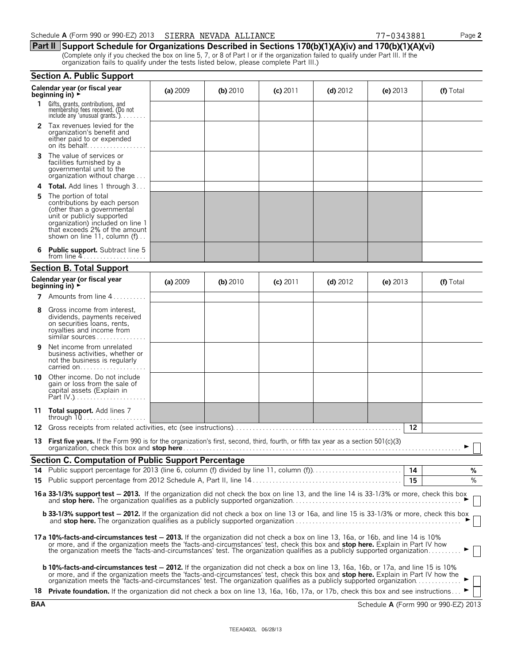**Part II Support Schedule for Organizations Described in Sections 170(b)(1)(A)(iv) and 170(b)(1)(A)(vi)** (Complete only if you checked the box on line 5, 7, or 8 of Part I or if the organization failed to qualify under Part III. If the organization fails to qualify under the tests listed below, please complete Part III.)

|     | <b>Section A. Public Support</b>                                                                                                                                                                                                                                                                                                                                                                                                                                                                                                                       |          |            |            |            |            |               |
|-----|--------------------------------------------------------------------------------------------------------------------------------------------------------------------------------------------------------------------------------------------------------------------------------------------------------------------------------------------------------------------------------------------------------------------------------------------------------------------------------------------------------------------------------------------------------|----------|------------|------------|------------|------------|---------------|
|     | Calendar year (or fiscal year<br>beginning in) $\rightarrow$                                                                                                                                                                                                                                                                                                                                                                                                                                                                                           | (a) 2009 | (b) $2010$ | $(c)$ 2011 | (d) $2012$ | (e) $2013$ | (f) Total     |
| 1.  | Gifts, grants, contributions, and<br>membership fees received. (Do not<br>include any 'unusual grants.'). $\ldots$                                                                                                                                                                                                                                                                                                                                                                                                                                     |          |            |            |            |            |               |
|     | <b>2</b> Tax revenues levied for the<br>organization's benefit and<br>either paid to or expended<br>on its behalf                                                                                                                                                                                                                                                                                                                                                                                                                                      |          |            |            |            |            |               |
| 3   | The value of services or<br>facilities furnished by a<br>governmental unit to the<br>organization without charge                                                                                                                                                                                                                                                                                                                                                                                                                                       |          |            |            |            |            |               |
|     | <b>4 Total.</b> Add lines 1 through 3                                                                                                                                                                                                                                                                                                                                                                                                                                                                                                                  |          |            |            |            |            |               |
| 5   | The portion of total<br>contributions by each person<br>(other than a governmental<br>unit or publicly supported<br>organization) included on line 1<br>that exceeds 2% of the amount<br>shown on line 11, column (f)                                                                                                                                                                                                                                                                                                                                  |          |            |            |            |            |               |
|     | <b>Public support.</b> Subtract line 5<br>from line $4$                                                                                                                                                                                                                                                                                                                                                                                                                                                                                                |          |            |            |            |            |               |
|     | <b>Section B. Total Support</b>                                                                                                                                                                                                                                                                                                                                                                                                                                                                                                                        |          |            |            |            |            |               |
|     | Calendar year (or fiscal year<br>beginning in) $\rightarrow$                                                                                                                                                                                                                                                                                                                                                                                                                                                                                           | (a) 2009 | $(b)$ 2010 | $(c)$ 2011 | (d) $2012$ | (e) $2013$ | (f) Total     |
|     | <b>7</b> Amounts from line $4, \ldots, \ldots$                                                                                                                                                                                                                                                                                                                                                                                                                                                                                                         |          |            |            |            |            |               |
| 8   | Gross income from interest,<br>dividends, payments received<br>on securities loans, rents,<br>royalties and income from<br>similar sources                                                                                                                                                                                                                                                                                                                                                                                                             |          |            |            |            |            |               |
| 9   | Net income from unrelated<br>business activities, whether or<br>not the business is regularly<br>carried on                                                                                                                                                                                                                                                                                                                                                                                                                                            |          |            |            |            |            |               |
| 10  | Other income. Do not include<br>gain or loss from the sale of<br>capital assets (Explain in                                                                                                                                                                                                                                                                                                                                                                                                                                                            |          |            |            |            |            |               |
|     | 11 Total support. Add lines 7<br>through $10$                                                                                                                                                                                                                                                                                                                                                                                                                                                                                                          |          |            |            |            |            |               |
| 12. |                                                                                                                                                                                                                                                                                                                                                                                                                                                                                                                                                        |          |            |            |            | 12         |               |
| 13  | <b>First five years.</b> If the Form 990 is for the organization's first, second, third, fourth, or fifth tax year as a section 501(c)(3)<br>organization, check this box and stop here.                                                                                                                                                                                                                                                                                                                                                               |          |            |            |            |            |               |
|     | <b>Section C. Computation of Public Support Percentage</b>                                                                                                                                                                                                                                                                                                                                                                                                                                                                                             |          |            |            |            |            |               |
|     |                                                                                                                                                                                                                                                                                                                                                                                                                                                                                                                                                        |          |            |            |            |            | %             |
|     |                                                                                                                                                                                                                                                                                                                                                                                                                                                                                                                                                        |          |            |            |            | 15         | $\frac{9}{6}$ |
|     | 16a 33-1/3% support test - 2013. If the organization did not check the box on line 13, and the line 14 is 33-1/3% or more, check this box                                                                                                                                                                                                                                                                                                                                                                                                              |          |            |            |            |            |               |
|     | <b>b 33-1/3% support test - 2012.</b> If the organization did not check a box on line 13 or 16a, and line 15 is 33-1/3% or more, check this box                                                                                                                                                                                                                                                                                                                                                                                                        |          |            |            |            |            |               |
|     | 17a 10%-facts-and-circumstances test - 2013. If the organization did not check a box on line 13, 16a, or 16b, and line 14 is 10%<br>or more, and if the organization meets the 'facts-and-circumstances' test, check this box and stop here. Explain in Part IV how<br>the organization meets the 'facts-and-circumstances' test. The organization qualifies as a publicly supported organization                                                                                                                                                      |          |            |            |            |            |               |
|     | <b>b 10%-facts-and-circumstances test – 2012.</b> If the organization did not check a box on line 13, 16a, 16b, or 17a, and line 15 is 10%<br>or more, and if the organization meets the 'facts-and-circumstances' test, check this box and stop here. Explain in Part IV how the<br>organization meets the 'facts-and-circumstances' test. The organization qualifies as a publicly supported organization<br>18 Private foundation. If the organization did not check a box on line 13, 16a, 16b, 17a, or 17b, check this box and see instructions ► |          |            |            |            |            |               |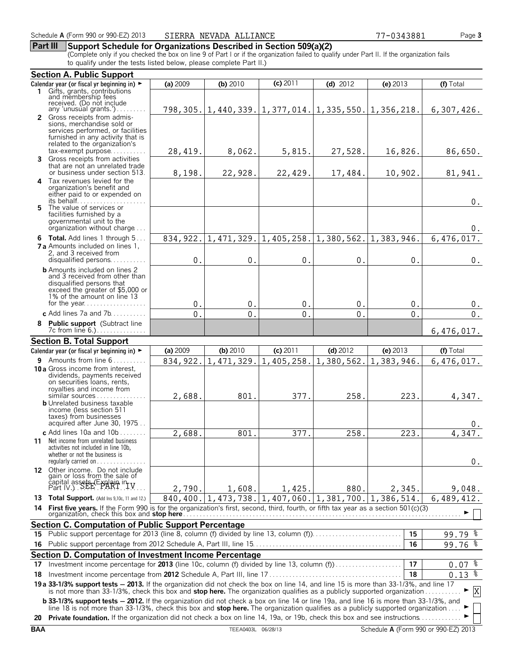## **Part III Support Schedule for Organizations Described in Section 509(a)(2)**

(Complete only if you checked the box on line 9 of Part I or if the organization failed to qualify under Part II. If the organization fails to qualify under the tests listed below, please complete Part II.)

|     | <b>Section A. Public Support</b>                                                                                                                                                                                                                                                       |                  |            |            |            |                                                               |                      |
|-----|----------------------------------------------------------------------------------------------------------------------------------------------------------------------------------------------------------------------------------------------------------------------------------------|------------------|------------|------------|------------|---------------------------------------------------------------|----------------------|
|     | Calendar year (or fiscal yr beginning in) $\blacktriangleright$                                                                                                                                                                                                                        | (a) 2009         | (b) 2010   | $(c)$ 2011 | $(d)$ 2012 | (e) 2013                                                      | (f) Total            |
|     | 1 Gifts, grants, contributions<br>and membership fees                                                                                                                                                                                                                                  |                  |            |            |            |                                                               |                      |
|     | received. (Do not include                                                                                                                                                                                                                                                              |                  |            |            |            |                                                               |                      |
|     | any 'unusual grants.')                                                                                                                                                                                                                                                                 |                  |            |            |            | 798, 305. 1, 440, 339. 1, 377, 014. 1, 335, 550. 1, 356, 218. | 6,307,426.           |
|     | 2 Gross receipts from admis-<br>sions, merchandise sold or                                                                                                                                                                                                                             |                  |            |            |            |                                                               |                      |
|     | services performed, or facilities                                                                                                                                                                                                                                                      |                  |            |            |            |                                                               |                      |
|     | furnished in any activity that is                                                                                                                                                                                                                                                      |                  |            |            |            |                                                               |                      |
|     | related to the organization's                                                                                                                                                                                                                                                          |                  |            |            |            |                                                               |                      |
|     | $tax\text{-}exempt$ purpose<br>3 Gross receipts from activities                                                                                                                                                                                                                        | 28,419.          | 8,062.     | 5,815.     | 27,528.    | 16,826.                                                       | 86,650.              |
|     | that are not an unrelated trade                                                                                                                                                                                                                                                        |                  |            |            |            |                                                               |                      |
|     | or business under section 513.                                                                                                                                                                                                                                                         | 8,198.           | 22,928.    | 22,429.    | 17,484.    | 10,902.                                                       | 81,941.              |
| 4   | Tax revenues levied for the                                                                                                                                                                                                                                                            |                  |            |            |            |                                                               |                      |
|     | organization's benefit and<br>either paid to or expended on                                                                                                                                                                                                                            |                  |            |            |            |                                                               |                      |
|     |                                                                                                                                                                                                                                                                                        |                  |            |            |            |                                                               | $0$ .                |
|     | 5 The value of services or                                                                                                                                                                                                                                                             |                  |            |            |            |                                                               |                      |
|     | facilities furnished by a<br>governmental unit to the                                                                                                                                                                                                                                  |                  |            |            |            |                                                               |                      |
|     | organization without charge                                                                                                                                                                                                                                                            |                  |            |            |            |                                                               | $0$ .                |
|     | 6 Total. Add lines 1 through 5                                                                                                                                                                                                                                                         | 834, 922.        | 1,471,329. | 1,405,258. | 1,380,562. | 1,383,946.                                                    | 6,476,017.           |
|     | <b>7 a</b> Amounts included on lines 1.                                                                                                                                                                                                                                                |                  |            |            |            |                                                               |                      |
|     | 2, and 3 received from                                                                                                                                                                                                                                                                 |                  |            |            |            |                                                               |                      |
|     | disqualified persons                                                                                                                                                                                                                                                                   | 0.               | $0$ .      | $0$ .      | $0$ .      | 0.                                                            | $0$ .                |
|     | <b>b</b> Amounts included on lines 2<br>and 3 received from other than                                                                                                                                                                                                                 |                  |            |            |            |                                                               |                      |
|     | disqualified persons that                                                                                                                                                                                                                                                              |                  |            |            |            |                                                               |                      |
|     | exceed the greater of \$5,000 or                                                                                                                                                                                                                                                       |                  |            |            |            |                                                               |                      |
|     | 1% of the amount on line 13                                                                                                                                                                                                                                                            | 0.               | 0.         | 0.         | 0.         | 0.                                                            | 0.                   |
|     | c Add lines 7a and 7b                                                                                                                                                                                                                                                                  | $\overline{0}$ . | 0.         | 0.         | 0.         | 0.                                                            | 0.                   |
|     |                                                                                                                                                                                                                                                                                        |                  |            |            |            |                                                               |                      |
|     | 8 Public support (Subtract line<br>7c from line 6.)                                                                                                                                                                                                                                    |                  |            |            |            |                                                               | 6,476,017.           |
|     | <b>Section B. Total Support</b>                                                                                                                                                                                                                                                        |                  |            |            |            |                                                               |                      |
|     |                                                                                                                                                                                                                                                                                        | (a) 2009         | (b) 2010   | (c) 2011   | $(d)$ 2012 | (e) $2013$                                                    | (f) Total            |
|     | Calendar year (or fiscal yr beginning in) ►                                                                                                                                                                                                                                            |                  |            |            |            |                                                               |                      |
|     | 9 Amounts from line 6<br>10 a Gross income from interest.                                                                                                                                                                                                                              | 834, 922.        | 1,471,329. | 1,405,258. |            | $1,380,562.$ 1, 383, 946.                                     | 6,476,017.           |
|     | dividends, payments received                                                                                                                                                                                                                                                           |                  |            |            |            |                                                               |                      |
|     | on securities loans, rents,                                                                                                                                                                                                                                                            |                  |            |            |            |                                                               |                      |
|     | royalties and income from<br>similar sources                                                                                                                                                                                                                                           |                  |            | 377.       |            |                                                               |                      |
|     | <b>b</b> Unrelated business taxable                                                                                                                                                                                                                                                    | 2,688.           | 801.       |            | 258.       | 223.                                                          | 4,347.               |
|     | income (less section 511                                                                                                                                                                                                                                                               |                  |            |            |            |                                                               |                      |
|     | taxes) from businesses<br>acquired after June 30, 1975                                                                                                                                                                                                                                 |                  |            |            |            |                                                               |                      |
|     | c Add lines $10a$ and $10b$                                                                                                                                                                                                                                                            |                  |            |            |            | 223.                                                          | 0.                   |
|     | 11 Net income from unrelated business                                                                                                                                                                                                                                                  | 2,688            | 801        | 377.       | 258        |                                                               | 4,347                |
|     | activities not included in line 10b,                                                                                                                                                                                                                                                   |                  |            |            |            |                                                               |                      |
|     | whether or not the business is                                                                                                                                                                                                                                                         |                  |            |            |            |                                                               |                      |
|     | requiarly carried on                                                                                                                                                                                                                                                                   |                  |            |            |            |                                                               | 0.                   |
|     | 12 Other income. Do not include                                                                                                                                                                                                                                                        |                  |            |            |            |                                                               |                      |
|     | gain or loss from the sale of<br>capital assets (Explain in TV<br>Part IV.) SEE PART TV                                                                                                                                                                                                |                  |            |            |            |                                                               |                      |
|     |                                                                                                                                                                                                                                                                                        | 2,790.           | 1,608.     | 1,425.     | 880.       | 2,345.                                                        | 9,048.               |
|     | 13 Total Support. (Add Ins 9,10c, 11 and 12.)                                                                                                                                                                                                                                          | 840, 400.        | 1,473,738. | 1,407,060. | 1,381,700. | 1,386,514.                                                    | 6,489,412.           |
| 14  | First five years. If the Form 990 is for the organization's first, second, third, fourth, or fifth tax year as a section 501(c)(3)                                                                                                                                                     |                  |            |            |            |                                                               |                      |
|     | Section C. Computation of Public Support Percentage                                                                                                                                                                                                                                    |                  |            |            |            |                                                               |                      |
| 15  |                                                                                                                                                                                                                                                                                        |                  |            |            |            | 15                                                            | $99.79$ $%$          |
|     |                                                                                                                                                                                                                                                                                        |                  |            |            |            | 16                                                            |                      |
| 16  |                                                                                                                                                                                                                                                                                        |                  |            |            |            |                                                               | 99.76 %              |
|     | Section D. Computation of Investment Income Percentage                                                                                                                                                                                                                                 |                  |            |            |            |                                                               |                      |
| 17. | Investment income percentage for 2013 (line 10c, column (f) divided by line 13, column (f))                                                                                                                                                                                            |                  |            |            |            | 17                                                            | $0.07$ $\frac{8}{3}$ |
| 18  |                                                                                                                                                                                                                                                                                        |                  |            |            |            | 18                                                            | $0.13$ $%$           |
|     | 19 a 33-1/3% support tests - 2013. If the organization did not check the box on line 14, and line 15 is more than 33-1/3%, and line 17 is not more than 33-1/3%, check this box and stop here. The organization qualifies as a                                                         |                  |            |            |            |                                                               | $\mathbf X$          |
|     | <b>b 33-1/3% support tests - 2012.</b> If the organization did not check a box on line 14 or line 19a, and line 16 is more than 33-1/3%, and<br>line 18 is not more than 33-1/3%, check this box and <b>stop here.</b> The organization qualifies as a publicly supported organization |                  |            |            |            |                                                               |                      |
|     | 20 Private foundation. If the organization did not check a box on line 14, 19a, or 19b, check this box and see instructions                                                                                                                                                            |                  |            |            |            |                                                               |                      |